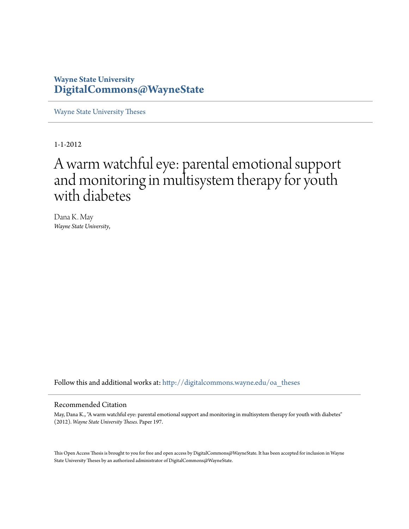# **Wayne State University [DigitalCommons@WayneState](http://digitalcommons.wayne.edu?utm_source=digitalcommons.wayne.edu%2Foa_theses%2F197&utm_medium=PDF&utm_campaign=PDFCoverPages)**

[Wayne State University Theses](http://digitalcommons.wayne.edu/oa_theses?utm_source=digitalcommons.wayne.edu%2Foa_theses%2F197&utm_medium=PDF&utm_campaign=PDFCoverPages)

1-1-2012

# A warm watchful eye: parental emotional support and monitoring in multisystem therapy for youth with diabetes

Dana K. May *Wayne State University*,

Follow this and additional works at: [http://digitalcommons.wayne.edu/oa\\_theses](http://digitalcommons.wayne.edu/oa_theses?utm_source=digitalcommons.wayne.edu%2Foa_theses%2F197&utm_medium=PDF&utm_campaign=PDFCoverPages)

#### Recommended Citation

May, Dana K., "A warm watchful eye: parental emotional support and monitoring in multisystem therapy for youth with diabetes" (2012). *Wayne State University Theses.* Paper 197.

This Open Access Thesis is brought to you for free and open access by DigitalCommons@WayneState. It has been accepted for inclusion in Wayne State University Theses by an authorized administrator of DigitalCommons@WayneState.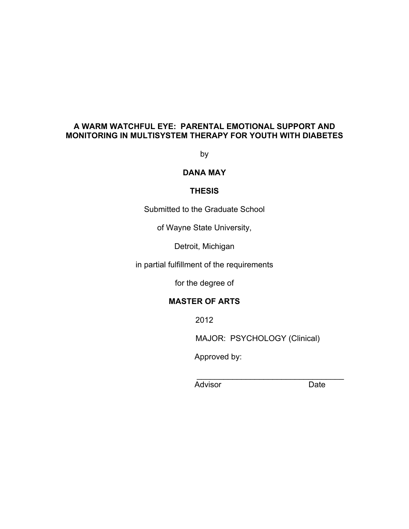# **A WARM WATCHFUL EYE: PARENTAL EMOTIONAL SUPPORT AND MONITORING IN MULTISYSTEM THERAPY FOR YOUTH WITH DIABETES**

by

# **DANA MAY**

#### **THESIS**

Submitted to the Graduate School

of Wayne State University,

Detroit, Michigan

in partial fulfillment of the requirements

for the degree of

# **MASTER OF ARTS**

2012

MAJOR: PSYCHOLOGY (Clinical)

Approved by:

 $\mathcal{L}_\text{max} = \frac{1}{2} \sum_{i=1}^n \frac{1}{2} \sum_{i=1}^n \frac{1}{2} \sum_{i=1}^n \frac{1}{2} \sum_{i=1}^n \frac{1}{2} \sum_{i=1}^n \frac{1}{2} \sum_{i=1}^n \frac{1}{2} \sum_{i=1}^n \frac{1}{2} \sum_{i=1}^n \frac{1}{2} \sum_{i=1}^n \frac{1}{2} \sum_{i=1}^n \frac{1}{2} \sum_{i=1}^n \frac{1}{2} \sum_{i=1}^n \frac{1}{2} \sum_{i=1}^n$ 

Advisor Date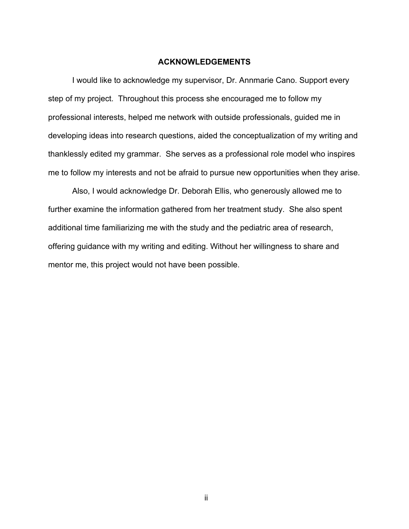#### **ACKNOWLEDGEMENTS**

I would like to acknowledge my supervisor, Dr. Annmarie Cano. Support every step of my project. Throughout this process she encouraged me to follow my professional interests, helped me network with outside professionals, guided me in developing ideas into research questions, aided the conceptualization of my writing and thanklessly edited my grammar. She serves as a professional role model who inspires me to follow my interests and not be afraid to pursue new opportunities when they arise.

Also, I would acknowledge Dr. Deborah Ellis, who generously allowed me to further examine the information gathered from her treatment study. She also spent additional time familiarizing me with the study and the pediatric area of research, offering guidance with my writing and editing. Without her willingness to share and mentor me, this project would not have been possible.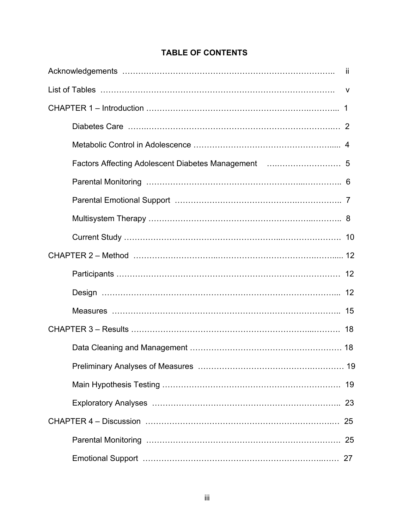| 19 |
|----|
|    |
|    |
|    |
|    |

# **TABLE OF CONTENTS**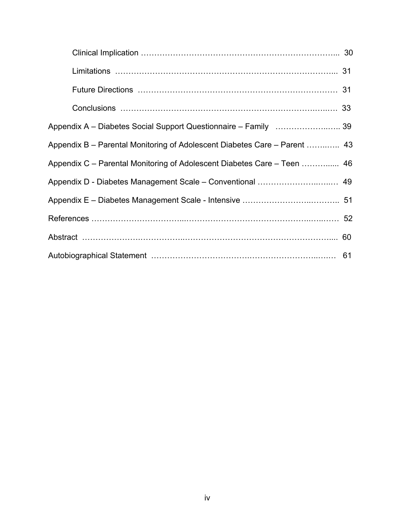| Appendix B - Parental Monitoring of Adolescent Diabetes Care - Parent  43 |  |
|---------------------------------------------------------------------------|--|
| Appendix C - Parental Monitoring of Adolescent Diabetes Care - Teen  46   |  |
|                                                                           |  |
|                                                                           |  |
|                                                                           |  |
|                                                                           |  |
|                                                                           |  |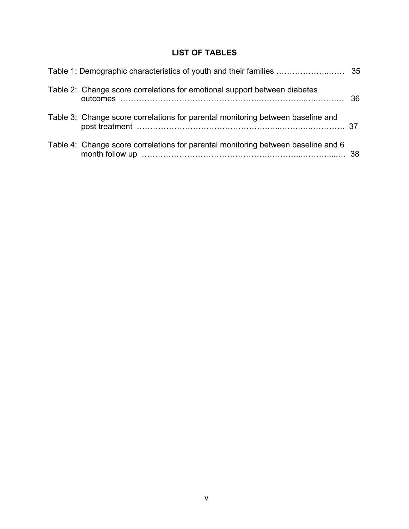# **LIST OF TABLES**

| Table 2: Change score correlations for emotional support between diabetes         |  |
|-----------------------------------------------------------------------------------|--|
| Table 3: Change score correlations for parental monitoring between baseline and   |  |
| Table 4: Change score correlations for parental monitoring between baseline and 6 |  |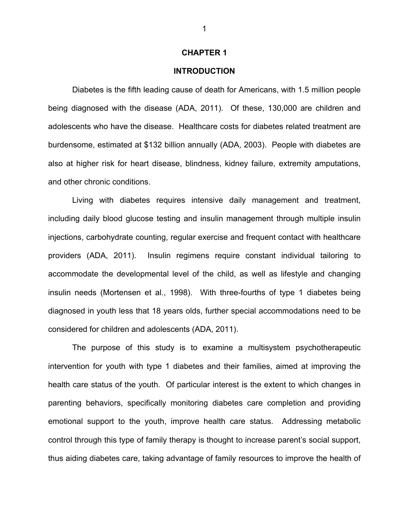#### **CHAPTER 1**

#### **INTRODUCTION**

Diabetes is the fifth leading cause of death for Americans, with 1.5 million people being diagnosed with the disease (ADA, 2011). Of these, 130,000 are children and adolescents who have the disease. Healthcare costs for diabetes related treatment are burdensome, estimated at \$132 billion annually (ADA, 2003). People with diabetes are also at higher risk for heart disease, blindness, kidney failure, extremity amputations, and other chronic conditions.

Living with diabetes requires intensive daily management and treatment, including daily blood glucose testing and insulin management through multiple insulin injections, carbohydrate counting, regular exercise and frequent contact with healthcare providers (ADA, 2011). Insulin regimens require constant individual tailoring to accommodate the developmental level of the child, as well as lifestyle and changing insulin needs (Mortensen et al., 1998). With three-fourths of type 1 diabetes being diagnosed in youth less that 18 years olds, further special accommodations need to be considered for children and adolescents (ADA, 2011).

The purpose of this study is to examine a multisystem psychotherapeutic intervention for youth with type 1 diabetes and their families, aimed at improving the health care status of the youth. Of particular interest is the extent to which changes in parenting behaviors, specifically monitoring diabetes care completion and providing emotional support to the youth, improve health care status. Addressing metabolic control through this type of family therapy is thought to increase parent's social support, thus aiding diabetes care, taking advantage of family resources to improve the health of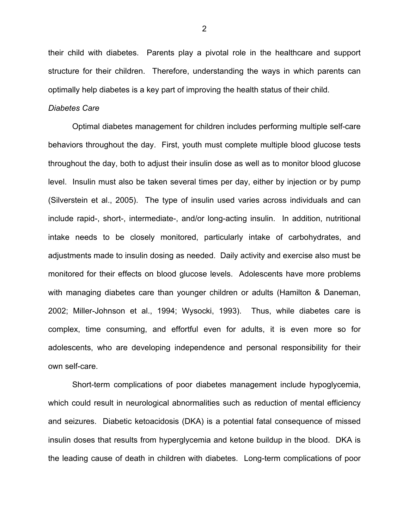their child with diabetes. Parents play a pivotal role in the healthcare and support structure for their children. Therefore, understanding the ways in which parents can optimally help diabetes is a key part of improving the health status of their child.

#### *Diabetes Care*

Optimal diabetes management for children includes performing multiple self-care behaviors throughout the day. First, youth must complete multiple blood glucose tests throughout the day, both to adjust their insulin dose as well as to monitor blood glucose level. Insulin must also be taken several times per day, either by injection or by pump (Silverstein et al., 2005). The type of insulin used varies across individuals and can include rapid-, short-, intermediate-, and/or long-acting insulin. In addition, nutritional intake needs to be closely monitored, particularly intake of carbohydrates, and adjustments made to insulin dosing as needed. Daily activity and exercise also must be monitored for their effects on blood glucose levels. Adolescents have more problems with managing diabetes care than younger children or adults (Hamilton & Daneman, 2002; Miller-Johnson et al., 1994; Wysocki, 1993). Thus, while diabetes care is complex, time consuming, and effortful even for adults, it is even more so for adolescents, who are developing independence and personal responsibility for their own self-care.

Short-term complications of poor diabetes management include hypoglycemia, which could result in neurological abnormalities such as reduction of mental efficiency and seizures. Diabetic ketoacidosis (DKA) is a potential fatal consequence of missed insulin doses that results from hyperglycemia and ketone buildup in the blood. DKA is the leading cause of death in children with diabetes. Long-term complications of poor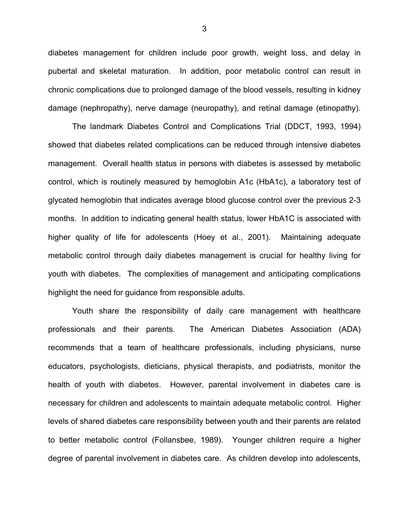diabetes management for children include poor growth, weight loss, and delay in pubertal and skeletal maturation. In addition, poor metabolic control can result in chronic complications due to prolonged damage of the blood vessels, resulting in kidney damage (nephropathy), nerve damage (neuropathy), and retinal damage (etinopathy).

The landmark Diabetes Control and Complications Trial (DDCT, 1993, 1994) showed that diabetes related complications can be reduced through intensive diabetes management. Overall health status in persons with diabetes is assessed by metabolic control, which is routinely measured by hemoglobin A1c (HbA1c), a laboratory test of glycated hemoglobin that indicates average blood glucose control over the previous 2-3 months. In addition to indicating general health status, lower HbA1C is associated with higher quality of life for adolescents (Hoey et al., 2001). Maintaining adequate metabolic control through daily diabetes management is crucial for healthy living for youth with diabetes. The complexities of management and anticipating complications highlight the need for guidance from responsible adults.

Youth share the responsibility of daily care management with healthcare professionals and their parents. The American Diabetes Association (ADA) recommends that a team of healthcare professionals, including physicians, nurse educators, psychologists, dieticians, physical therapists, and podiatrists, monitor the health of youth with diabetes. However, parental involvement in diabetes care is necessary for children and adolescents to maintain adequate metabolic control. Higher levels of shared diabetes care responsibility between youth and their parents are related to better metabolic control (Follansbee, 1989). Younger children require a higher degree of parental involvement in diabetes care. As children develop into adolescents,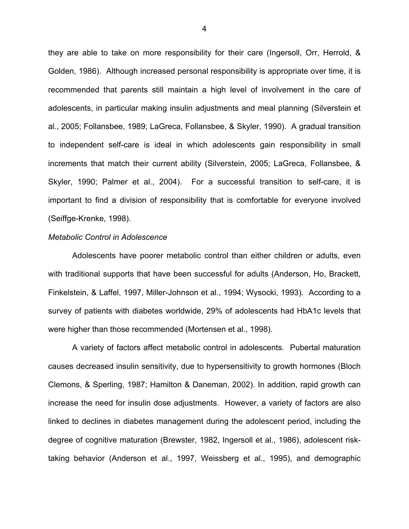they are able to take on more responsibility for their care (Ingersoll, Orr, Herrold, & Golden, 1986). Although increased personal responsibility is appropriate over time, it is recommended that parents still maintain a high level of involvement in the care of adolescents, in particular making insulin adjustments and meal planning (Silverstein et al., 2005; Follansbee, 1989; LaGreca, Follansbee, & Skyler, 1990). A gradual transition to independent self-care is ideal in which adolescents gain responsibility in small increments that match their current ability (Silverstein, 2005; LaGreca, Follansbee, & Skyler, 1990; Palmer et al., 2004). For a successful transition to self-care, it is important to find a division of responsibility that is comfortable for everyone involved (Seiffge-Krenke, 1998).

#### *Metabolic Control in Adolescence*

Adolescents have poorer metabolic control than either children or adults, even with traditional supports that have been successful for adults (Anderson, Ho, Brackett, Finkelstein, & Laffel, 1997, Miller-Johnson et al., 1994; Wysocki, 1993). According to a survey of patients with diabetes worldwide, 29% of adolescents had HbA1c levels that were higher than those recommended (Mortensen et al., 1998).

A variety of factors affect metabolic control in adolescents. Pubertal maturation causes decreased insulin sensitivity, due to hypersensitivity to growth hormones (Bloch Clemons, & Sperling, 1987; Hamilton & Daneman, 2002). In addition, rapid growth can increase the need for insulin dose adjustments. However, a variety of factors are also linked to declines in diabetes management during the adolescent period, including the degree of cognitive maturation (Brewster, 1982, Ingersoll et al., 1986), adolescent risktaking behavior (Anderson et al., 1997, Weissberg et al., 1995), and demographic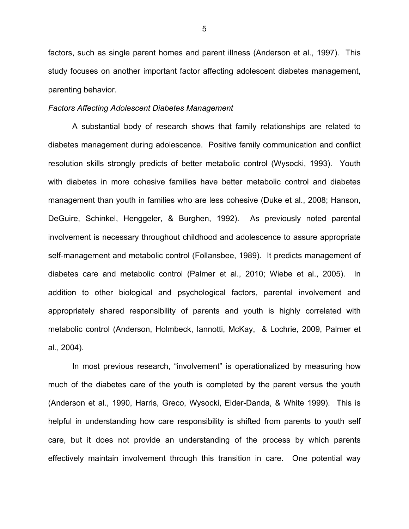factors, such as single parent homes and parent illness (Anderson et al., 1997). This study focuses on another important factor affecting adolescent diabetes management, parenting behavior.

#### *Factors Affecting Adolescent Diabetes Management*

A substantial body of research shows that family relationships are related to diabetes management during adolescence. Positive family communication and conflict resolution skills strongly predicts of better metabolic control (Wysocki, 1993). Youth with diabetes in more cohesive families have better metabolic control and diabetes management than youth in families who are less cohesive (Duke et al., 2008; Hanson, DeGuire, Schinkel, Henggeler, & Burghen, 1992). As previously noted parental involvement is necessary throughout childhood and adolescence to assure appropriate self-management and metabolic control (Follansbee, 1989). It predicts management of diabetes care and metabolic control (Palmer et al., 2010; Wiebe et al., 2005). In addition to other biological and psychological factors, parental involvement and appropriately shared responsibility of parents and youth is highly correlated with metabolic control (Anderson, Holmbeck, Iannotti, McKay, & Lochrie, 2009, Palmer et al., 2004).

In most previous research, "involvement" is operationalized by measuring how much of the diabetes care of the youth is completed by the parent versus the youth (Anderson et al., 1990, Harris, Greco, Wysocki, Elder-Danda, & White 1999). This is helpful in understanding how care responsibility is shifted from parents to youth self care, but it does not provide an understanding of the process by which parents effectively maintain involvement through this transition in care. One potential way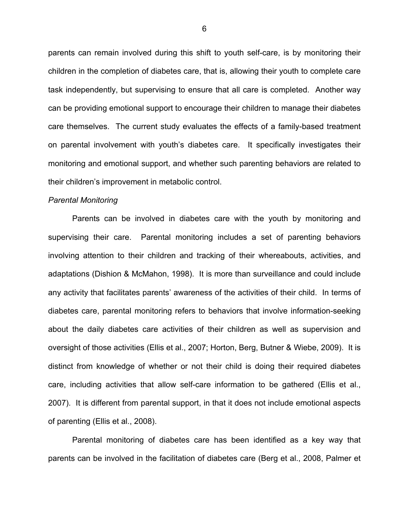parents can remain involved during this shift to youth self-care, is by monitoring their children in the completion of diabetes care, that is, allowing their youth to complete care task independently, but supervising to ensure that all care is completed. Another way can be providing emotional support to encourage their children to manage their diabetes care themselves. The current study evaluates the effects of a family-based treatment on parental involvement with youth's diabetes care. It specifically investigates their monitoring and emotional support, and whether such parenting behaviors are related to their children's improvement in metabolic control.

#### *Parental Monitoring*

Parents can be involved in diabetes care with the youth by monitoring and supervising their care. Parental monitoring includes a set of parenting behaviors involving attention to their children and tracking of their whereabouts, activities, and adaptations (Dishion & McMahon, 1998). It is more than surveillance and could include any activity that facilitates parents' awareness of the activities of their child. In terms of diabetes care, parental monitoring refers to behaviors that involve information-seeking about the daily diabetes care activities of their children as well as supervision and oversight of those activities (Ellis et al., 2007; Horton, Berg, Butner & Wiebe, 2009). It is distinct from knowledge of whether or not their child is doing their required diabetes care, including activities that allow self-care information to be gathered (Ellis et al., 2007). It is different from parental support, in that it does not include emotional aspects of parenting (Ellis et al., 2008).

Parental monitoring of diabetes care has been identified as a key way that parents can be involved in the facilitation of diabetes care (Berg et al., 2008, Palmer et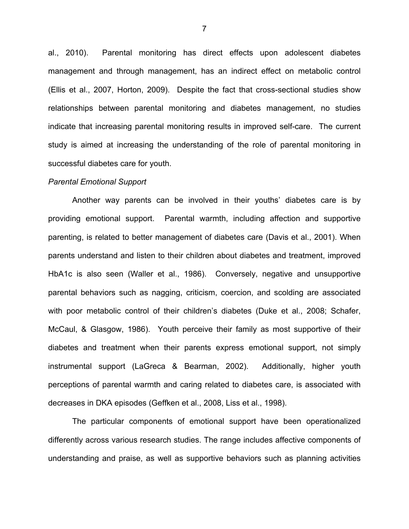al., 2010). Parental monitoring has direct effects upon adolescent diabetes management and through management, has an indirect effect on metabolic control (Ellis et al., 2007, Horton, 2009). Despite the fact that cross-sectional studies show relationships between parental monitoring and diabetes management, no studies indicate that increasing parental monitoring results in improved self-care. The current study is aimed at increasing the understanding of the role of parental monitoring in successful diabetes care for youth.

#### *Parental Emotional Support*

Another way parents can be involved in their youths' diabetes care is by providing emotional support. Parental warmth, including affection and supportive parenting, is related to better management of diabetes care (Davis et al., 2001). When parents understand and listen to their children about diabetes and treatment, improved HbA1c is also seen (Waller et al., 1986). Conversely, negative and unsupportive parental behaviors such as nagging, criticism, coercion, and scolding are associated with poor metabolic control of their children's diabetes (Duke et al., 2008; Schafer, McCaul, & Glasgow, 1986). Youth perceive their family as most supportive of their diabetes and treatment when their parents express emotional support, not simply instrumental support (LaGreca & Bearman, 2002). Additionally, higher youth perceptions of parental warmth and caring related to diabetes care, is associated with decreases in DKA episodes (Geffken et al., 2008, Liss et al., 1998).

The particular components of emotional support have been operationalized differently across various research studies. The range includes affective components of understanding and praise, as well as supportive behaviors such as planning activities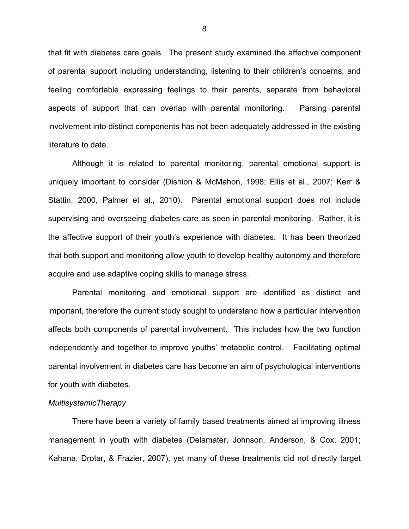that fit with diabetes care goals. The present study examined the affective component of parental support including understanding, listening to their children's concerns, and feeling comfortable expressing feelings to their parents, separate from behavioral aspects of support that can overlap with parental monitoring. Parsing parental involvement into distinct components has not been adequately addressed in the existing literature to date.

Although it is related to parental monitoring, parental emotional support is uniquely important to consider (Dishion & McMahon, 1998; Ellis et al., 2007; Kerr & Stattin, 2000, Palmer et al., 2010). Parental emotional support does not include supervising and overseeing diabetes care as seen in parental monitoring. Rather, it is the affective support of their youth's experience with diabetes. It has been theorized that both support and monitoring allow youth to develop healthy autonomy and therefore acquire and use adaptive coping skills to manage stress.

Parental monitoring and emotional support are identified as distinct and important, therefore the current study sought to understand how a particular intervention affects both components of parental involvement. This includes how the two function independently and together to improve youths' metabolic control. Facilitating optimal parental involvement in diabetes care has become an aim of psychological interventions for youth with diabetes.

#### *MultisystemicTherapy*

There have been a variety of family based treatments aimed at improving illness management in youth with diabetes (Delamater, Johnson, Anderson, & Cox, 2001; Kahana, Drotar, & Frazier, 2007), yet many of these treatments did not directly target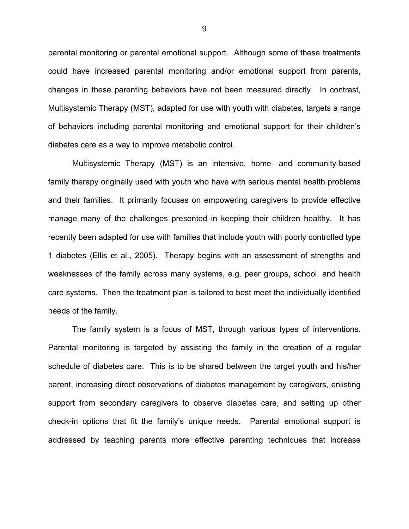parental monitoring or parental emotional support. Although some of these treatments could have increased parental monitoring and/or emotional support from parents, changes in these parenting behaviors have not been measured directly. In contrast, Multisystemic Therapy (MST), adapted for use with youth with diabetes, targets a range of behaviors including parental monitoring and emotional support for their children's diabetes care as a way to improve metabolic control.

Multisystemic Therapy (MST) is an intensive, home- and community-based family therapy originally used with youth who have with serious mental health problems and their families. It primarily focuses on empowering caregivers to provide effective manage many of the challenges presented in keeping their children healthy. It has recently been adapted for use with families that include youth with poorly controlled type 1 diabetes (Ellis et al., 2005). Therapy begins with an assessment of strengths and weaknesses of the family across many systems, e.g. peer groups, school, and health care systems. Then the treatment plan is tailored to best meet the individually identified needs of the family.

The family system is a focus of MST, through various types of interventions. Parental monitoring is targeted by assisting the family in the creation of a regular schedule of diabetes care. This is to be shared between the target youth and his/her parent, increasing direct observations of diabetes management by caregivers, enlisting support from secondary caregivers to observe diabetes care, and setting up other check-in options that fit the family's unique needs. Parental emotional support is addressed by teaching parents more effective parenting techniques that increase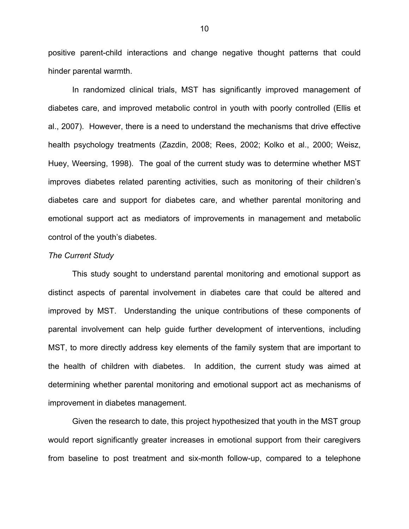positive parent-child interactions and change negative thought patterns that could hinder parental warmth.

In randomized clinical trials, MST has significantly improved management of diabetes care, and improved metabolic control in youth with poorly controlled (Ellis et al., 2007). However, there is a need to understand the mechanisms that drive effective health psychology treatments (Zazdin, 2008; Rees, 2002; Kolko et al., 2000; Weisz, Huey, Weersing, 1998). The goal of the current study was to determine whether MST improves diabetes related parenting activities, such as monitoring of their children's diabetes care and support for diabetes care, and whether parental monitoring and emotional support act as mediators of improvements in management and metabolic control of the youth's diabetes.

#### *The Current Study*

This study sought to understand parental monitoring and emotional support as distinct aspects of parental involvement in diabetes care that could be altered and improved by MST. Understanding the unique contributions of these components of parental involvement can help guide further development of interventions, including MST, to more directly address key elements of the family system that are important to the health of children with diabetes. In addition, the current study was aimed at determining whether parental monitoring and emotional support act as mechanisms of improvement in diabetes management.

Given the research to date, this project hypothesized that youth in the MST group would report significantly greater increases in emotional support from their caregivers from baseline to post treatment and six-month follow-up, compared to a telephone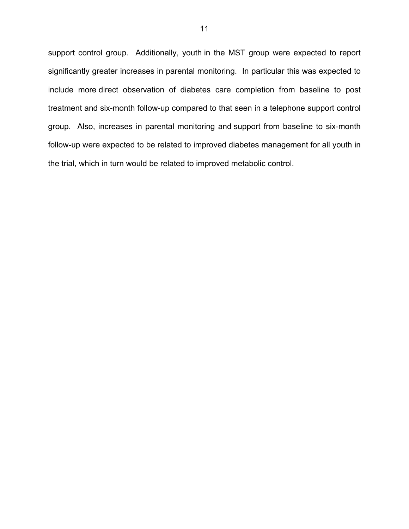support control group. Additionally, youth in the MST group were expected to report significantly greater increases in parental monitoring. In particular this was expected to include more direct observation of diabetes care completion from baseline to post treatment and six-month follow-up compared to that seen in a telephone support control group. Also, increases in parental monitoring and support from baseline to six-month follow-up were expected to be related to improved diabetes management for all youth in the trial, which in turn would be related to improved metabolic control.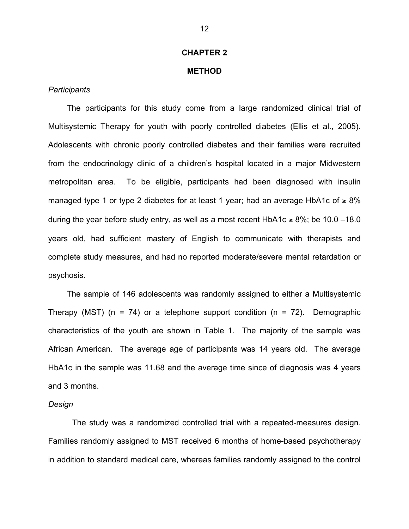#### **CHAPTER 2**

#### **METHOD**

#### *Participants*

The participants for this study come from a large randomized clinical trial of Multisystemic Therapy for youth with poorly controlled diabetes (Ellis et al., 2005). Adolescents with chronic poorly controlled diabetes and their families were recruited from the endocrinology clinic of a children's hospital located in a major Midwestern metropolitan area. To be eligible, participants had been diagnosed with insulin managed type 1 or type 2 diabetes for at least 1 year; had an average HbA1c of  $\geq 8\%$ during the year before study entry, as well as a most recent HbA1c ≥ 8%; be 10.0 –18.0 years old, had sufficient mastery of English to communicate with therapists and complete study measures, and had no reported moderate/severe mental retardation or psychosis.

The sample of 146 adolescents was randomly assigned to either a Multisystemic Therapy (MST) ( $n = 74$ ) or a telephone support condition ( $n = 72$ ). Demographic characteristics of the youth are shown in Table 1. The majority of the sample was African American. The average age of participants was 14 years old. The average HbA1c in the sample was 11.68 and the average time since of diagnosis was 4 years and 3 months.

#### *Design*

The study was a randomized controlled trial with a repeated-measures design. Families randomly assigned to MST received 6 months of home-based psychotherapy in addition to standard medical care, whereas families randomly assigned to the control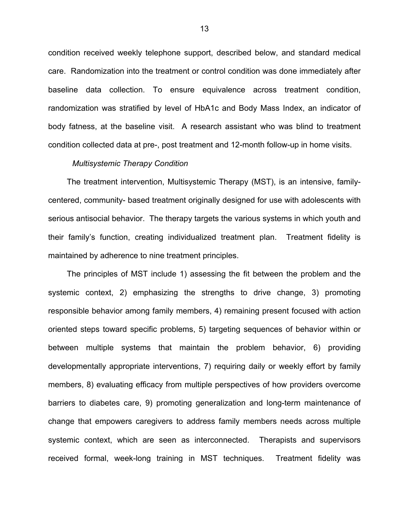condition received weekly telephone support, described below, and standard medical care. Randomization into the treatment or control condition was done immediately after baseline data collection. To ensure equivalence across treatment condition, randomization was stratified by level of HbA1c and Body Mass Index, an indicator of body fatness, at the baseline visit. A research assistant who was blind to treatment condition collected data at pre-, post treatment and 12-month follow-up in home visits.

#### *Multisystemic Therapy Condition*

 The treatment intervention, Multisystemic Therapy (MST), is an intensive, familycentered, community- based treatment originally designed for use with adolescents with serious antisocial behavior. The therapy targets the various systems in which youth and their family's function, creating individualized treatment plan. Treatment fidelity is maintained by adherence to nine treatment principles.

The principles of MST include 1) assessing the fit between the problem and the systemic context, 2) emphasizing the strengths to drive change, 3) promoting responsible behavior among family members, 4) remaining present focused with action oriented steps toward specific problems, 5) targeting sequences of behavior within or between multiple systems that maintain the problem behavior, 6) providing developmentally appropriate interventions, 7) requiring daily or weekly effort by family members, 8) evaluating efficacy from multiple perspectives of how providers overcome barriers to diabetes care, 9) promoting generalization and long-term maintenance of change that empowers caregivers to address family members needs across multiple systemic context, which are seen as interconnected. Therapists and supervisors received formal, week-long training in MST techniques. Treatment fidelity was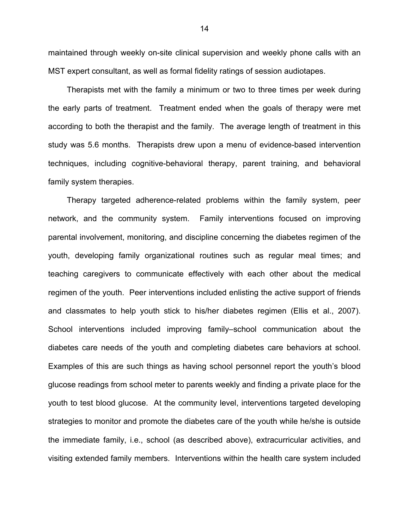maintained through weekly on-site clinical supervision and weekly phone calls with an MST expert consultant, as well as formal fidelity ratings of session audiotapes.

Therapists met with the family a minimum or two to three times per week during the early parts of treatment. Treatment ended when the goals of therapy were met according to both the therapist and the family. The average length of treatment in this study was 5.6 months. Therapists drew upon a menu of evidence-based intervention techniques, including cognitive-behavioral therapy, parent training, and behavioral family system therapies.

Therapy targeted adherence-related problems within the family system, peer network, and the community system. Family interventions focused on improving parental involvement, monitoring, and discipline concerning the diabetes regimen of the youth, developing family organizational routines such as regular meal times; and teaching caregivers to communicate effectively with each other about the medical regimen of the youth. Peer interventions included enlisting the active support of friends and classmates to help youth stick to his/her diabetes regimen (Ellis et al., 2007). School interventions included improving family–school communication about the diabetes care needs of the youth and completing diabetes care behaviors at school. Examples of this are such things as having school personnel report the youth's blood glucose readings from school meter to parents weekly and finding a private place for the youth to test blood glucose. At the community level, interventions targeted developing strategies to monitor and promote the diabetes care of the youth while he/she is outside the immediate family, i.e., school (as described above), extracurricular activities, and visiting extended family members. Interventions within the health care system included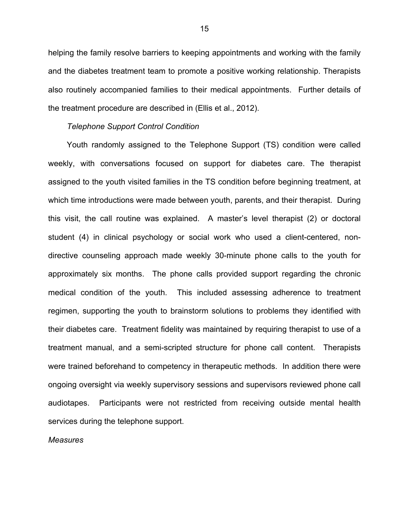helping the family resolve barriers to keeping appointments and working with the family and the diabetes treatment team to promote a positive working relationship. Therapists also routinely accompanied families to their medical appointments. Further details of the treatment procedure are described in (Ellis et al., 2012).

#### *Telephone Support Control Condition*

Youth randomly assigned to the Telephone Support (TS) condition were called weekly, with conversations focused on support for diabetes care. The therapist assigned to the youth visited families in the TS condition before beginning treatment, at which time introductions were made between youth, parents, and their therapist. During this visit, the call routine was explained. A master's level therapist (2) or doctoral student (4) in clinical psychology or social work who used a client-centered, nondirective counseling approach made weekly 30-minute phone calls to the youth for approximately six months. The phone calls provided support regarding the chronic medical condition of the youth. This included assessing adherence to treatment regimen, supporting the youth to brainstorm solutions to problems they identified with their diabetes care. Treatment fidelity was maintained by requiring therapist to use of a treatment manual, and a semi-scripted structure for phone call content. Therapists were trained beforehand to competency in therapeutic methods. In addition there were ongoing oversight via weekly supervisory sessions and supervisors reviewed phone call audiotapes. Participants were not restricted from receiving outside mental health services during the telephone support.

#### *Measures*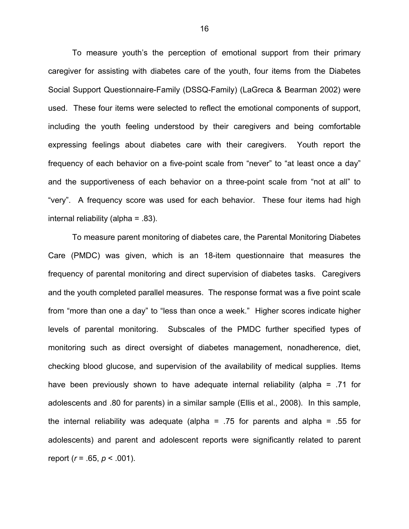To measure youth's the perception of emotional support from their primary caregiver for assisting with diabetes care of the youth, four items from the Diabetes Social Support Questionnaire-Family (DSSQ-Family) (LaGreca & Bearman 2002) were used. These four items were selected to reflect the emotional components of support, including the youth feeling understood by their caregivers and being comfortable expressing feelings about diabetes care with their caregivers. Youth report the frequency of each behavior on a five-point scale from "never" to "at least once a day" and the supportiveness of each behavior on a three-point scale from "not at all" to "very". A frequency score was used for each behavior. These four items had high internal reliability (alpha = .83).

To measure parent monitoring of diabetes care, the Parental Monitoring Diabetes Care (PMDC) was given, which is an 18-item questionnaire that measures the frequency of parental monitoring and direct supervision of diabetes tasks. Caregivers and the youth completed parallel measures. The response format was a five point scale from "more than one a day" to "less than once a week." Higher scores indicate higher levels of parental monitoring. Subscales of the PMDC further specified types of monitoring such as direct oversight of diabetes management, nonadherence, diet, checking blood glucose, and supervision of the availability of medical supplies. Items have been previously shown to have adequate internal reliability (alpha = .71 for adolescents and .80 for parents) in a similar sample (Ellis et al., 2008). In this sample, the internal reliability was adequate (alpha = .75 for parents and alpha = .55 for adolescents) and parent and adolescent reports were significantly related to parent report (*r* = .65, *p* < .001).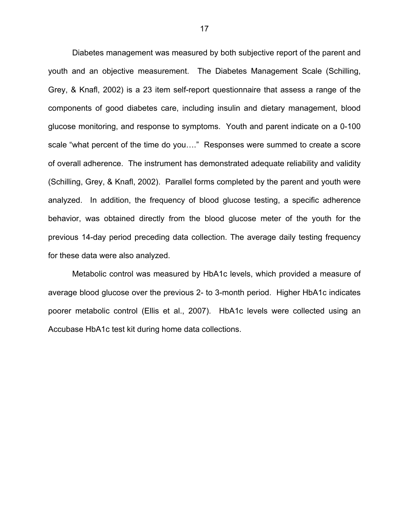Diabetes management was measured by both subjective report of the parent and youth and an objective measurement. The Diabetes Management Scale (Schilling, Grey, & Knafl, 2002) is a 23 item self-report questionnaire that assess a range of the components of good diabetes care, including insulin and dietary management, blood glucose monitoring, and response to symptoms. Youth and parent indicate on a 0-100 scale "what percent of the time do you…." Responses were summed to create a score of overall adherence. The instrument has demonstrated adequate reliability and validity (Schilling, Grey, & Knafl, 2002). Parallel forms completed by the parent and youth were analyzed. In addition, the frequency of blood glucose testing, a specific adherence behavior, was obtained directly from the blood glucose meter of the youth for the previous 14-day period preceding data collection. The average daily testing frequency for these data were also analyzed.

Metabolic control was measured by HbA1c levels, which provided a measure of average blood glucose over the previous 2- to 3-month period. Higher HbA1c indicates poorer metabolic control (Ellis et al., 2007). HbA1c levels were collected using an Accubase HbA1c test kit during home data collections.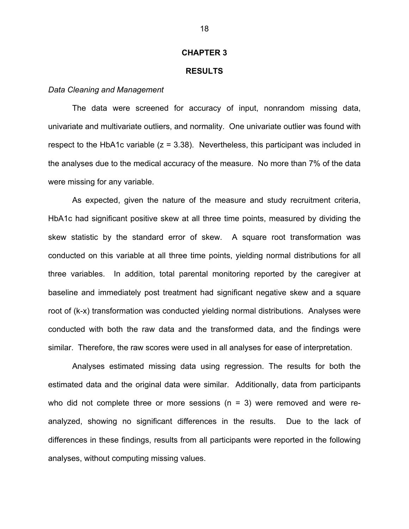#### **CHAPTER 3**

#### **RESULTS**

#### *Data Cleaning and Management*

The data were screened for accuracy of input, nonrandom missing data, univariate and multivariate outliers, and normality. One univariate outlier was found with respect to the HbA1c variable  $(z = 3.38)$ . Nevertheless, this participant was included in the analyses due to the medical accuracy of the measure. No more than 7% of the data were missing for any variable.

As expected, given the nature of the measure and study recruitment criteria, HbA1c had significant positive skew at all three time points, measured by dividing the skew statistic by the standard error of skew. A square root transformation was conducted on this variable at all three time points, yielding normal distributions for all three variables. In addition, total parental monitoring reported by the caregiver at baseline and immediately post treatment had significant negative skew and a square root of (k-x) transformation was conducted yielding normal distributions. Analyses were conducted with both the raw data and the transformed data, and the findings were similar. Therefore, the raw scores were used in all analyses for ease of interpretation.

Analyses estimated missing data using regression. The results for both the estimated data and the original data were similar. Additionally, data from participants who did not complete three or more sessions  $(n = 3)$  were removed and were reanalyzed, showing no significant differences in the results. Due to the lack of differences in these findings, results from all participants were reported in the following analyses, without computing missing values.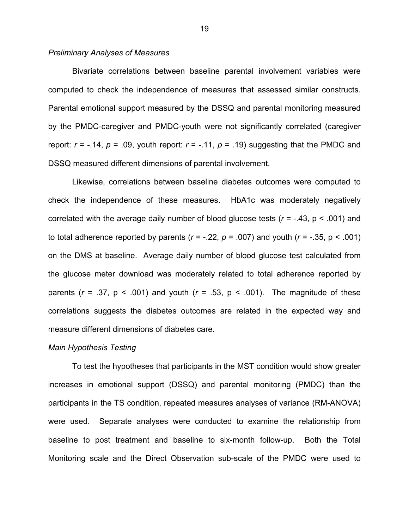#### *Preliminary Analyses of Measures*

Bivariate correlations between baseline parental involvement variables were computed to check the independence of measures that assessed similar constructs. Parental emotional support measured by the DSSQ and parental monitoring measured by the PMDC-caregiver and PMDC-youth were not significantly correlated (caregiver report:  $r = -.14$ ,  $p = .09$ , youth report:  $r = -.11$ ,  $p = .19$ ) suggesting that the PMDC and DSSQ measured different dimensions of parental involvement.

Likewise, correlations between baseline diabetes outcomes were computed to check the independence of these measures. HbA1c was moderately negatively correlated with the average daily number of blood glucose tests (*r* = -.43, p < .001) and to total adherence reported by parents ( $r = -.22$ ,  $p = .007$ ) and youth ( $r = -.35$ ,  $p < .001$ ) on the DMS at baseline. Average daily number of blood glucose test calculated from the glucose meter download was moderately related to total adherence reported by parents  $(r = .37, p < .001)$  and youth  $(r = .53, p < .001)$ . The magnitude of these correlations suggests the diabetes outcomes are related in the expected way and measure different dimensions of diabetes care.

#### *Main Hypothesis Testing*

To test the hypotheses that participants in the MST condition would show greater increases in emotional support (DSSQ) and parental monitoring (PMDC) than the participants in the TS condition, repeated measures analyses of variance (RM-ANOVA) were used. Separate analyses were conducted to examine the relationship from baseline to post treatment and baseline to six-month follow-up. Both the Total Monitoring scale and the Direct Observation sub-scale of the PMDC were used to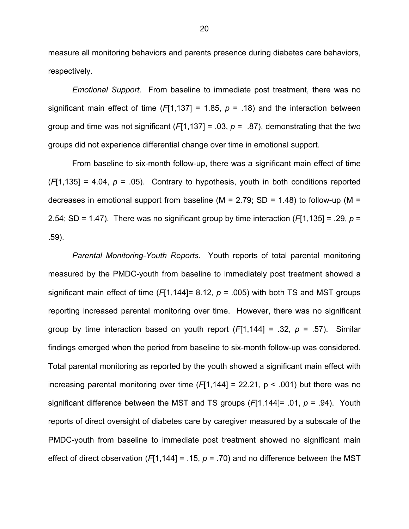measure all monitoring behaviors and parents presence during diabetes care behaviors, respectively.

*Emotional Support*. From baseline to immediate post treatment, there was no significant main effect of time  $(F[1,137] = 1.85, p = .18)$  and the interaction between group and time was not significant  $(F[1,137] = .03, p = .87)$ , demonstrating that the two groups did not experience differential change over time in emotional support.

From baseline to six-month follow-up, there was a significant main effect of time  $(F[1,135] = 4.04$ ,  $p = .05$ ). Contrary to hypothesis, youth in both conditions reported decreases in emotional support from baseline ( $M = 2.79$ ; SD = 1.48) to follow-up ( $M =$ 2.54; SD = 1.47). There was no significant group by time interaction (*F*[1,135] = .29, *p* = .59).

*Parental Monitoring-Youth Reports.* Youth reports of total parental monitoring measured by the PMDC-youth from baseline to immediately post treatment showed a significant main effect of time  $(F[1, 144] = 8.12, p = .005)$  with both TS and MST groups reporting increased parental monitoring over time. However, there was no significant group by time interaction based on youth report (*F*[1,144] = .32, *p* = .57). Similar findings emerged when the period from baseline to six-month follow-up was considered. Total parental monitoring as reported by the youth showed a significant main effect with increasing parental monitoring over time (*F*[1,144] = 22.21, p < .001) but there was no significant difference between the MST and TS groups (*F*[1,144]= .01, *p* = .94). Youth reports of direct oversight of diabetes care by caregiver measured by a subscale of the PMDC-youth from baseline to immediate post treatment showed no significant main effect of direct observation (*F*[1,144] = .15, *p* = .70) and no difference between the MST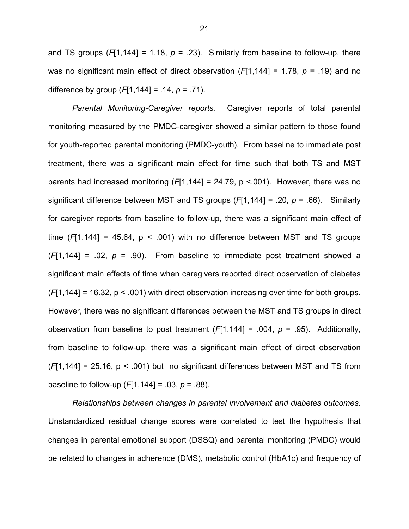and TS groups  $(F[1, 144] = 1.18, p = .23)$ . Similarly from baseline to follow-up, there was no significant main effect of direct observation (*F*[1,144] = 1.78, *p* = .19) and no difference by group (*F*[1,144] = .14, *p* = .71).

*Parental Monitoring-Caregiver reports.* Caregiver reports of total parental monitoring measured by the PMDC-caregiver showed a similar pattern to those found for youth-reported parental monitoring (PMDC-youth). From baseline to immediate post treatment, there was a significant main effect for time such that both TS and MST parents had increased monitoring (*F*[1,144] = 24.79, p <.001). However, there was no significant difference between MST and TS groups (*F*[1,144] = .20, *p* = .66). Similarly for caregiver reports from baseline to follow-up, there was a significant main effect of time  $(F[1,144] = 45.64, p < .001)$  with no difference between MST and TS groups  $(F[1, 144] = .02, p = .90)$ . From baseline to immediate post treatment showed a significant main effects of time when caregivers reported direct observation of diabetes (*F*[1,144] = 16.32, p < .001) with direct observation increasing over time for both groups. However, there was no significant differences between the MST and TS groups in direct observation from baseline to post treatment (*F*[1,144] = .004, *p* = .95). Additionally, from baseline to follow-up, there was a significant main effect of direct observation (*F*[1,144] = 25.16, p < .001) but no significant differences between MST and TS from baseline to follow-up  $(F[1, 144] = .03, p = .88)$ .

*Relationships between changes in parental involvement and diabetes outcomes.*  Unstandardized residual change scores were correlated to test the hypothesis that changes in parental emotional support (DSSQ) and parental monitoring (PMDC) would be related to changes in adherence (DMS), metabolic control (HbA1c) and frequency of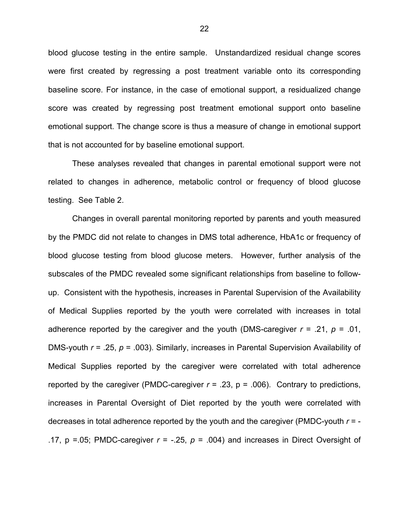blood glucose testing in the entire sample. Unstandardized residual change scores were first created by regressing a post treatment variable onto its corresponding baseline score. For instance, in the case of emotional support, a residualized change score was created by regressing post treatment emotional support onto baseline emotional support. The change score is thus a measure of change in emotional support that is not accounted for by baseline emotional support.

These analyses revealed that changes in parental emotional support were not related to changes in adherence, metabolic control or frequency of blood glucose testing. See Table 2.

Changes in overall parental monitoring reported by parents and youth measured by the PMDC did not relate to changes in DMS total adherence, HbA1c or frequency of blood glucose testing from blood glucose meters. However, further analysis of the subscales of the PMDC revealed some significant relationships from baseline to followup. Consistent with the hypothesis, increases in Parental Supervision of the Availability of Medical Supplies reported by the youth were correlated with increases in total adherence reported by the caregiver and the youth (DMS-caregiver  $r = .21$ ,  $p = .01$ , DMS-youth *r* = .25, *p* = .003). Similarly, increases in Parental Supervision Availability of Medical Supplies reported by the caregiver were correlated with total adherence reported by the caregiver (PMDC-caregiver  $r = .23$ ,  $p = .006$ ). Contrary to predictions, increases in Parental Oversight of Diet reported by the youth were correlated with decreases in total adherence reported by the youth and the caregiver (PMDC-youth *r* = - .17,  $p = 0.05$ ; PMDC-caregiver  $r = -0.25$ ,  $p = 0.004$ ) and increases in Direct Oversight of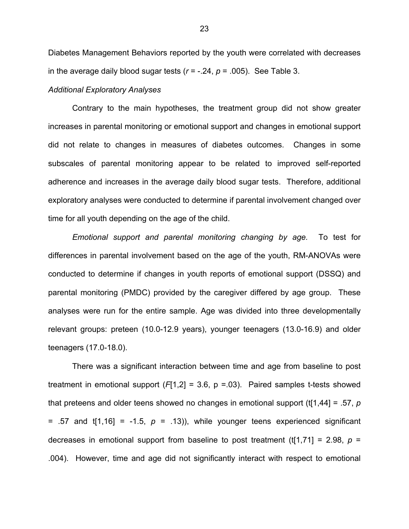Diabetes Management Behaviors reported by the youth were correlated with decreases in the average daily blood sugar tests  $(r = -.24, p = .005)$ . See Table 3.

#### *Additional Exploratory Analyses*

Contrary to the main hypotheses, the treatment group did not show greater increases in parental monitoring or emotional support and changes in emotional support did not relate to changes in measures of diabetes outcomes. Changes in some subscales of parental monitoring appear to be related to improved self-reported adherence and increases in the average daily blood sugar tests. Therefore, additional exploratory analyses were conducted to determine if parental involvement changed over time for all youth depending on the age of the child.

*Emotional support and parental monitoring changing by age.* To test for differences in parental involvement based on the age of the youth, RM-ANOVAs were conducted to determine if changes in youth reports of emotional support (DSSQ) and parental monitoring (PMDC) provided by the caregiver differed by age group. These analyses were run for the entire sample. Age was divided into three developmentally relevant groups: preteen (10.0-12.9 years), younger teenagers (13.0-16.9) and older teenagers (17.0-18.0).

There was a significant interaction between time and age from baseline to post treatment in emotional support (*F*[1,2] = 3.6, p =.03). Paired samples t-tests showed that preteens and older teens showed no changes in emotional support (t[1,44] = .57, *p* = .57 and  $t[1,16]$  = -1.5,  $p = .13$ )), while younger teens experienced significant decreases in emotional support from baseline to post treatment (t[1,71] = 2.98,  $p =$ .004). However, time and age did not significantly interact with respect to emotional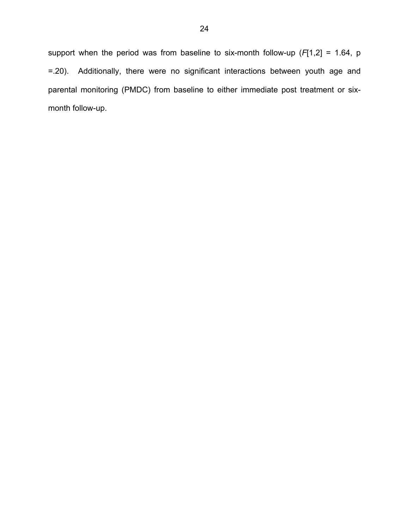support when the period was from baseline to six-month follow-up (*F*[1,2] = 1.64, p =.20). Additionally, there were no significant interactions between youth age and parental monitoring (PMDC) from baseline to either immediate post treatment or sixmonth follow-up.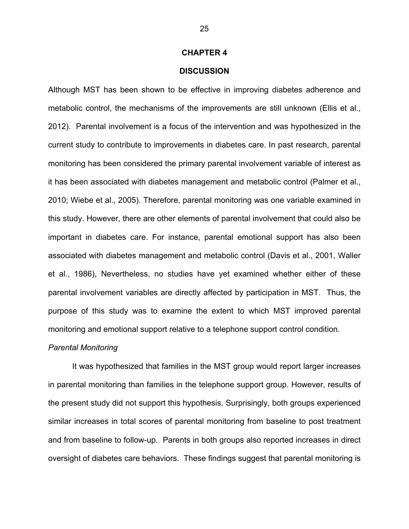#### **CHAPTER 4**

#### **DISCUSSION**

Although MST has been shown to be effective in improving diabetes adherence and metabolic control, the mechanisms of the improvements are still unknown (Ellis et al., 2012). Parental involvement is a focus of the intervention and was hypothesized in the current study to contribute to improvements in diabetes care. In past research, parental monitoring has been considered the primary parental involvement variable of interest as it has been associated with diabetes management and metabolic control (Palmer et al., 2010; Wiebe et al., 2005). Therefore, parental monitoring was one variable examined in this study. However, there are other elements of parental involvement that could also be important in diabetes care. For instance, parental emotional support has also been associated with diabetes management and metabolic control (Davis et al., 2001, Waller et al., 1986), Nevertheless, no studies have yet examined whether either of these parental involvement variables are directly affected by participation in MST. Thus, the purpose of this study was to examine the extent to which MST improved parental monitoring and emotional support relative to a telephone support control condition.

#### *Parental Monitoring*

It was hypothesized that families in the MST group would report larger increases in parental monitoring than families in the telephone support group. However, results of the present study did not support this hypothesis. Surprisingly, both groups experienced similar increases in total scores of parental monitoring from baseline to post treatment and from baseline to follow-up. Parents in both groups also reported increases in direct oversight of diabetes care behaviors. These findings suggest that parental monitoring is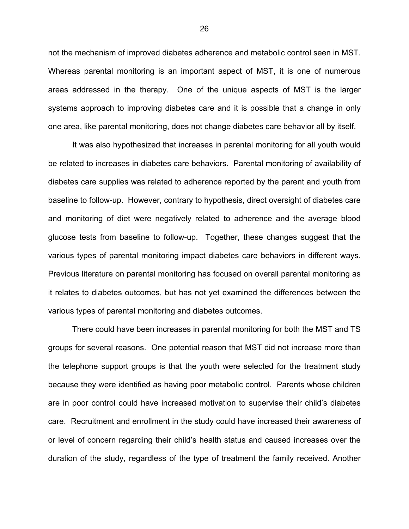not the mechanism of improved diabetes adherence and metabolic control seen in MST. Whereas parental monitoring is an important aspect of MST, it is one of numerous areas addressed in the therapy. One of the unique aspects of MST is the larger systems approach to improving diabetes care and it is possible that a change in only one area, like parental monitoring, does not change diabetes care behavior all by itself.

It was also hypothesized that increases in parental monitoring for all youth would be related to increases in diabetes care behaviors. Parental monitoring of availability of diabetes care supplies was related to adherence reported by the parent and youth from baseline to follow-up. However, contrary to hypothesis, direct oversight of diabetes care and monitoring of diet were negatively related to adherence and the average blood glucose tests from baseline to follow-up. Together, these changes suggest that the various types of parental monitoring impact diabetes care behaviors in different ways. Previous literature on parental monitoring has focused on overall parental monitoring as it relates to diabetes outcomes, but has not yet examined the differences between the various types of parental monitoring and diabetes outcomes.

There could have been increases in parental monitoring for both the MST and TS groups for several reasons. One potential reason that MST did not increase more than the telephone support groups is that the youth were selected for the treatment study because they were identified as having poor metabolic control. Parents whose children are in poor control could have increased motivation to supervise their child's diabetes care. Recruitment and enrollment in the study could have increased their awareness of or level of concern regarding their child's health status and caused increases over the duration of the study, regardless of the type of treatment the family received. Another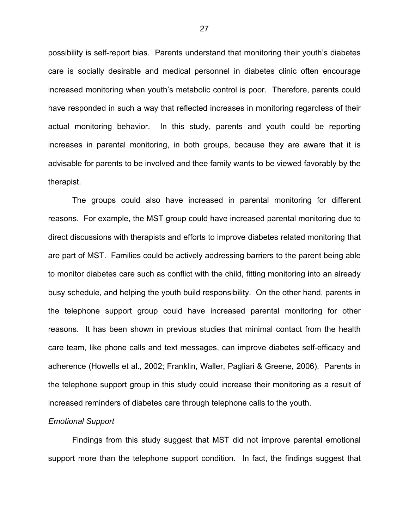possibility is self-report bias. Parents understand that monitoring their youth's diabetes care is socially desirable and medical personnel in diabetes clinic often encourage increased monitoring when youth's metabolic control is poor. Therefore, parents could have responded in such a way that reflected increases in monitoring regardless of their actual monitoring behavior. In this study, parents and youth could be reporting increases in parental monitoring, in both groups, because they are aware that it is advisable for parents to be involved and thee family wants to be viewed favorably by the therapist.

The groups could also have increased in parental monitoring for different reasons. For example, the MST group could have increased parental monitoring due to direct discussions with therapists and efforts to improve diabetes related monitoring that are part of MST. Families could be actively addressing barriers to the parent being able to monitor diabetes care such as conflict with the child, fitting monitoring into an already busy schedule, and helping the youth build responsibility. On the other hand, parents in the telephone support group could have increased parental monitoring for other reasons. It has been shown in previous studies that minimal contact from the health care team, like phone calls and text messages, can improve diabetes self-efficacy and adherence (Howells et al., 2002; Franklin, Waller, Pagliari & Greene, 2006). Parents in the telephone support group in this study could increase their monitoring as a result of increased reminders of diabetes care through telephone calls to the youth.

#### *Emotional Support*

Findings from this study suggest that MST did not improve parental emotional support more than the telephone support condition. In fact, the findings suggest that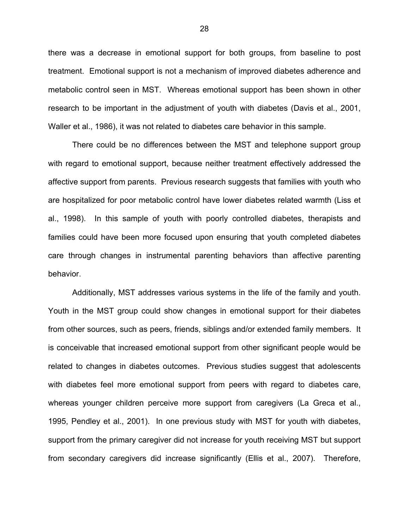there was a decrease in emotional support for both groups, from baseline to post treatment. Emotional support is not a mechanism of improved diabetes adherence and metabolic control seen in MST. Whereas emotional support has been shown in other research to be important in the adjustment of youth with diabetes (Davis et al., 2001, Waller et al., 1986), it was not related to diabetes care behavior in this sample.

There could be no differences between the MST and telephone support group with regard to emotional support, because neither treatment effectively addressed the affective support from parents. Previous research suggests that families with youth who are hospitalized for poor metabolic control have lower diabetes related warmth (Liss et al., 1998). In this sample of youth with poorly controlled diabetes, therapists and families could have been more focused upon ensuring that youth completed diabetes care through changes in instrumental parenting behaviors than affective parenting behavior.

Additionally, MST addresses various systems in the life of the family and youth. Youth in the MST group could show changes in emotional support for their diabetes from other sources, such as peers, friends, siblings and/or extended family members. It is conceivable that increased emotional support from other significant people would be related to changes in diabetes outcomes. Previous studies suggest that adolescents with diabetes feel more emotional support from peers with regard to diabetes care, whereas younger children perceive more support from caregivers (La Greca et al., 1995, Pendley et al., 2001). In one previous study with MST for youth with diabetes, support from the primary caregiver did not increase for youth receiving MST but support from secondary caregivers did increase significantly (Ellis et al., 2007). Therefore,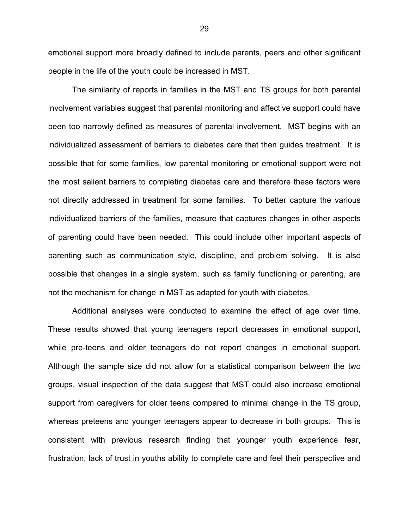emotional support more broadly defined to include parents, peers and other significant people in the life of the youth could be increased in MST.

The similarity of reports in families in the MST and TS groups for both parental involvement variables suggest that parental monitoring and affective support could have been too narrowly defined as measures of parental involvement. MST begins with an individualized assessment of barriers to diabetes care that then guides treatment. It is possible that for some families, low parental monitoring or emotional support were not the most salient barriers to completing diabetes care and therefore these factors were not directly addressed in treatment for some families. To better capture the various individualized barriers of the families, measure that captures changes in other aspects of parenting could have been needed. This could include other important aspects of parenting such as communication style, discipline, and problem solving. It is also possible that changes in a single system, such as family functioning or parenting, are not the mechanism for change in MST as adapted for youth with diabetes.

Additional analyses were conducted to examine the effect of age over time. These results showed that young teenagers report decreases in emotional support, while pre-teens and older teenagers do not report changes in emotional support. Although the sample size did not allow for a statistical comparison between the two groups, visual inspection of the data suggest that MST could also increase emotional support from caregivers for older teens compared to minimal change in the TS group, whereas preteens and younger teenagers appear to decrease in both groups. This is consistent with previous research finding that younger youth experience fear, frustration, lack of trust in youths ability to complete care and feel their perspective and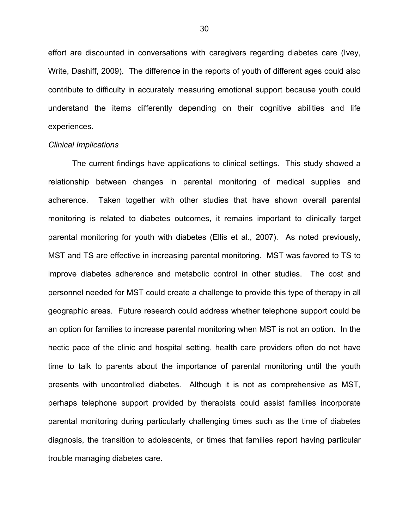effort are discounted in conversations with caregivers regarding diabetes care (Ivey, Write, Dashiff, 2009). The difference in the reports of youth of different ages could also contribute to difficulty in accurately measuring emotional support because youth could understand the items differently depending on their cognitive abilities and life experiences.

#### *Clinical Implications*

The current findings have applications to clinical settings. This study showed a relationship between changes in parental monitoring of medical supplies and adherence. Taken together with other studies that have shown overall parental monitoring is related to diabetes outcomes, it remains important to clinically target parental monitoring for youth with diabetes (Ellis et al., 2007). As noted previously, MST and TS are effective in increasing parental monitoring. MST was favored to TS to improve diabetes adherence and metabolic control in other studies. The cost and personnel needed for MST could create a challenge to provide this type of therapy in all geographic areas. Future research could address whether telephone support could be an option for families to increase parental monitoring when MST is not an option. In the hectic pace of the clinic and hospital setting, health care providers often do not have time to talk to parents about the importance of parental monitoring until the youth presents with uncontrolled diabetes. Although it is not as comprehensive as MST, perhaps telephone support provided by therapists could assist families incorporate parental monitoring during particularly challenging times such as the time of diabetes diagnosis, the transition to adolescents, or times that families report having particular trouble managing diabetes care.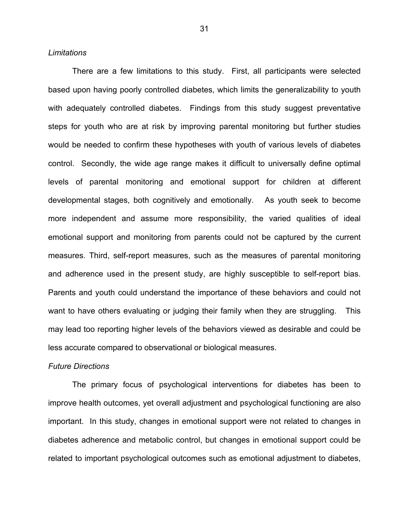#### *Limitations*

There are a few limitations to this study. First, all participants were selected based upon having poorly controlled diabetes, which limits the generalizability to youth with adequately controlled diabetes. Findings from this study suggest preventative steps for youth who are at risk by improving parental monitoring but further studies would be needed to confirm these hypotheses with youth of various levels of diabetes control. Secondly, the wide age range makes it difficult to universally define optimal levels of parental monitoring and emotional support for children at different developmental stages, both cognitively and emotionally. As youth seek to become more independent and assume more responsibility, the varied qualities of ideal emotional support and monitoring from parents could not be captured by the current measures. Third, self-report measures, such as the measures of parental monitoring and adherence used in the present study, are highly susceptible to self-report bias. Parents and youth could understand the importance of these behaviors and could not want to have others evaluating or judging their family when they are struggling. This may lead too reporting higher levels of the behaviors viewed as desirable and could be less accurate compared to observational or biological measures.

#### *Future Directions*

The primary focus of psychological interventions for diabetes has been to improve health outcomes, yet overall adjustment and psychological functioning are also important. In this study, changes in emotional support were not related to changes in diabetes adherence and metabolic control, but changes in emotional support could be related to important psychological outcomes such as emotional adjustment to diabetes,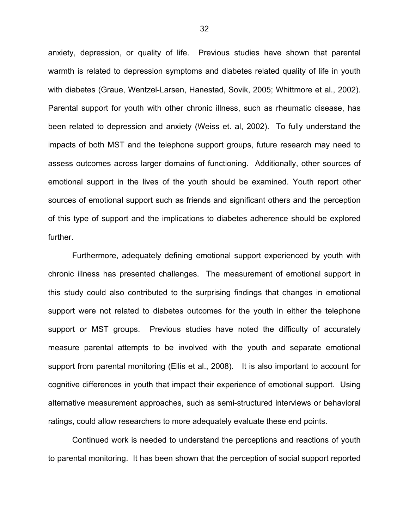anxiety, depression, or quality of life. Previous studies have shown that parental warmth is related to depression symptoms and diabetes related quality of life in youth with diabetes (Graue, Wentzel-Larsen, Hanestad, Sovik, 2005; Whittmore et al., 2002). Parental support for youth with other chronic illness, such as rheumatic disease, has been related to depression and anxiety (Weiss et. al, 2002). To fully understand the impacts of both MST and the telephone support groups, future research may need to assess outcomes across larger domains of functioning. Additionally, other sources of emotional support in the lives of the youth should be examined. Youth report other sources of emotional support such as friends and significant others and the perception of this type of support and the implications to diabetes adherence should be explored further.

Furthermore, adequately defining emotional support experienced by youth with chronic illness has presented challenges. The measurement of emotional support in this study could also contributed to the surprising findings that changes in emotional support were not related to diabetes outcomes for the youth in either the telephone support or MST groups. Previous studies have noted the difficulty of accurately measure parental attempts to be involved with the youth and separate emotional support from parental monitoring (Ellis et al., 2008). It is also important to account for cognitive differences in youth that impact their experience of emotional support. Using alternative measurement approaches, such as semi-structured interviews or behavioral ratings, could allow researchers to more adequately evaluate these end points.

Continued work is needed to understand the perceptions and reactions of youth to parental monitoring. It has been shown that the perception of social support reported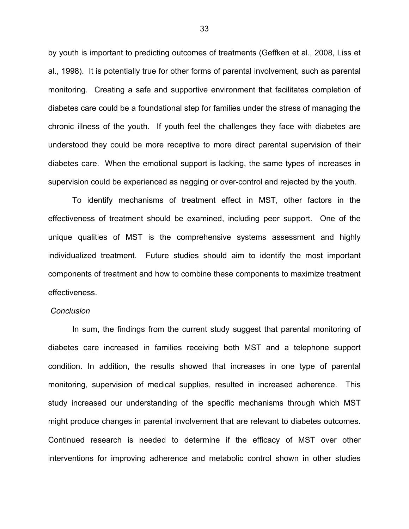by youth is important to predicting outcomes of treatments (Geffken et al., 2008, Liss et al., 1998). It is potentially true for other forms of parental involvement, such as parental monitoring. Creating a safe and supportive environment that facilitates completion of diabetes care could be a foundational step for families under the stress of managing the chronic illness of the youth. If youth feel the challenges they face with diabetes are understood they could be more receptive to more direct parental supervision of their diabetes care. When the emotional support is lacking, the same types of increases in supervision could be experienced as nagging or over-control and rejected by the youth.

To identify mechanisms of treatment effect in MST, other factors in the effectiveness of treatment should be examined, including peer support. One of the unique qualities of MST is the comprehensive systems assessment and highly individualized treatment. Future studies should aim to identify the most important components of treatment and how to combine these components to maximize treatment effectiveness.

#### *Conclusion*

In sum, the findings from the current study suggest that parental monitoring of diabetes care increased in families receiving both MST and a telephone support condition. In addition, the results showed that increases in one type of parental monitoring, supervision of medical supplies, resulted in increased adherence. This study increased our understanding of the specific mechanisms through which MST might produce changes in parental involvement that are relevant to diabetes outcomes. Continued research is needed to determine if the efficacy of MST over other interventions for improving adherence and metabolic control shown in other studies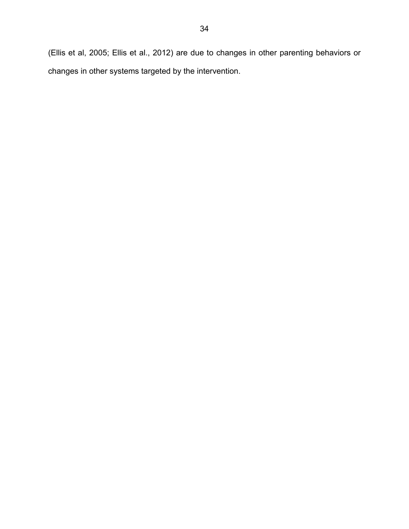(Ellis et al, 2005; Ellis et al., 2012) are due to changes in other parenting behaviors or changes in other systems targeted by the intervention.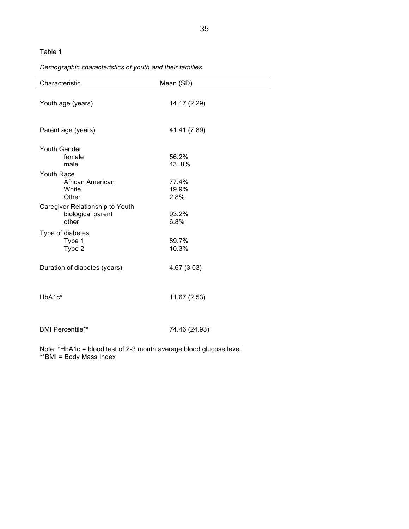#### Table 1

# *Demographic characteristics of youth and their families*

| Characteristic                                                | Mean (SD)              |
|---------------------------------------------------------------|------------------------|
| Youth age (years)                                             | 14.17 (2.29)           |
| Parent age (years)                                            | 41.41 (7.89)           |
| Youth Gender<br>female<br>male                                | 56.2%<br>43.8%         |
| Youth Race<br>African American<br>White<br>Other              | 77.4%<br>19.9%<br>2.8% |
| Caregiver Relationship to Youth<br>biological parent<br>other | 93.2%<br>6.8%          |
| Type of diabetes<br>Type 1<br>Type 2                          | 89.7%<br>10.3%         |
| Duration of diabetes (years)                                  | 4.67 (3.03)            |
| HbA1c*                                                        | 11.67 (2.53)           |
| <b>BMI Percentile**</b>                                       | 74.46 (24.93)          |

Note: \*HbA1c = blood test of 2-3 month average blood glucose level \*\*BMI = Body Mass Index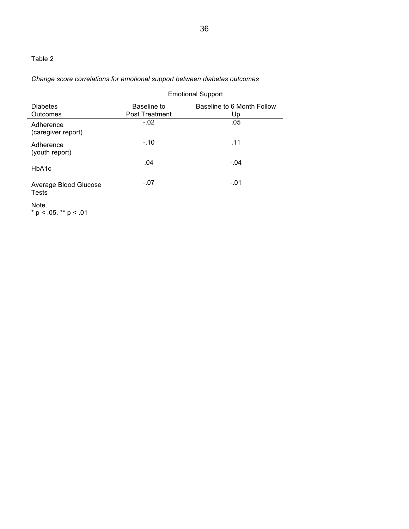# Table 2

# *Change score correlations for emotional support between diabetes outcomes*

|                                 | <b>Emotional Support</b>             |                                  |  |  |  |  |
|---------------------------------|--------------------------------------|----------------------------------|--|--|--|--|
| <b>Diabetes</b><br>Outcomes     | Baseline to<br><b>Post Treatment</b> | Baseline to 6 Month Follow<br>Up |  |  |  |  |
| Adherence<br>(caregiver report) | $-.02$                               | .05                              |  |  |  |  |
| Adherence<br>(youth report)     | $-.10$                               | .11                              |  |  |  |  |
| HbA1c                           | .04                                  | $-.04$                           |  |  |  |  |
| Average Blood Glucose<br>Tests  | $-.07$                               | $-.01$                           |  |  |  |  |
| .                               |                                      |                                  |  |  |  |  |

Note.

\* p < .05. \*\* p < .01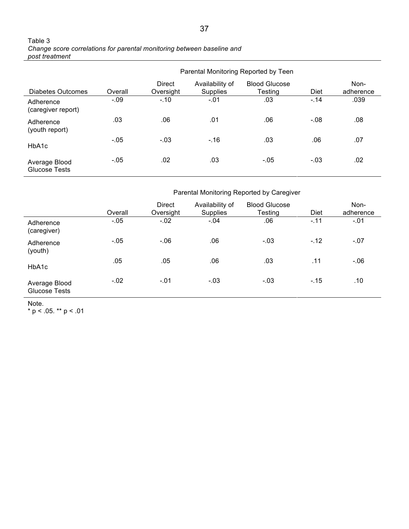| Table 3                                                                |
|------------------------------------------------------------------------|
| Change score correlations for parental monitoring between baseline and |
| post treatment                                                         |

|                                       |         | Parental Monitoring Reported by Teen |                                    |                                 |        |                   |  |
|---------------------------------------|---------|--------------------------------------|------------------------------------|---------------------------------|--------|-------------------|--|
| Diabetes Outcomes                     | Overall | Direct<br>Oversight                  | Availability of<br><b>Supplies</b> | <b>Blood Glucose</b><br>Testing | Diet   | Non-<br>adherence |  |
| Adherence<br>(caregiver report)       | $-.09$  | $-.10$                               | $-.01$                             | .03                             | $-14$  | .039              |  |
| Adherence<br>(youth report)           | .03     | .06                                  | .01                                | .06                             | $-.08$ | .08               |  |
| HbA1c                                 | $-05$   | $-.03$                               | $-.16$                             | .03                             | .06    | .07               |  |
| Average Blood<br><b>Glucose Tests</b> | $-.05$  | .02                                  | .03                                | $-05$                           | $-.03$ | .02               |  |

Parental Monitoring Reported by Caregiver

|                                       | Overall | <b>Direct</b><br>Oversight | Availability of<br><b>Supplies</b> | <b>Blood Glucose</b><br>Testing | <b>Diet</b> | Non-<br>adherence |
|---------------------------------------|---------|----------------------------|------------------------------------|---------------------------------|-------------|-------------------|
| Adherence<br>(caregiver)              | $-.05$  | $-.02$                     | $-04$                              | .06                             | $-.11$      | $-.01$            |
| Adherence<br>(youth)                  | $-0.05$ | $-.06$                     | .06                                | $-.03$                          | $-.12$      | $-07$             |
| HbA1c                                 | .05     | .05                        | .06                                | .03                             | .11         | $-06$             |
| Average Blood<br><b>Glucose Tests</b> | $-.02$  | $-.01$                     | $-.03$                             | $-.03$                          | $-15$       | .10               |

Note.

\* p < .05. \*\* p < .01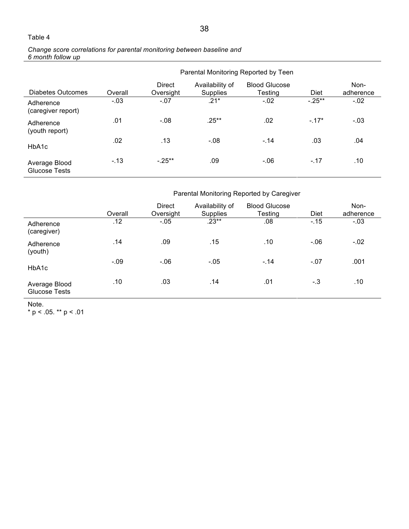### Table 4

#### *Change score correlations for parental monitoring between baseline and 6 month follow up*

|                                 |         | Parental Monitoring Reported by Teen |                                    |                                 |             |                   |  |  |
|---------------------------------|---------|--------------------------------------|------------------------------------|---------------------------------|-------------|-------------------|--|--|
| Diabetes Outcomes               | Overall | <b>Direct</b><br>Oversight           | Availability of<br><b>Supplies</b> | <b>Blood Glucose</b><br>Testing | <b>Diet</b> | Non-<br>adherence |  |  |
| Adherence<br>(caregiver report) | $-.03$  | $-.07$                               | $.21*$                             | $-.02$                          | $-.25***$   | $-.02$            |  |  |
| Adherence<br>(youth report)     | .01     | $-.08$                               | $.25***$                           | .02                             | $-.17*$     | $-.03$            |  |  |
| HbA1c                           | .02     | .13                                  | $-.08$                             | $-.14$                          | .03         | .04               |  |  |
| Average Blood<br>Glucose Tests  | $-.13$  | $-.25***$                            | .09                                | $-0.06$                         | $-.17$      | .10               |  |  |

Parental Monitoring Reported by Caregiver

|                                       | Overall | <b>Direct</b><br>Oversight | Availability of<br><b>Supplies</b> | <b>Blood Glucose</b><br>Testing | Diet   | Non-<br>adherence |
|---------------------------------------|---------|----------------------------|------------------------------------|---------------------------------|--------|-------------------|
| Adherence<br>(caregiver)              | .12     | $-05$                      | $.23**$                            | .08                             | $-.15$ | $-03$             |
| Adherence<br>(youth)                  | .14     | .09                        | .15                                | .10                             | $-06$  | $-.02$            |
| HbA1c                                 | $-.09$  | $-06$                      | $-0.05$                            | $-.14$                          | $-07$  | .001              |
| Average Blood<br><b>Glucose Tests</b> | .10     | .03                        | .14                                | .01                             | $-.3$  | .10               |

Note.

\* p < .05. \*\* p < .01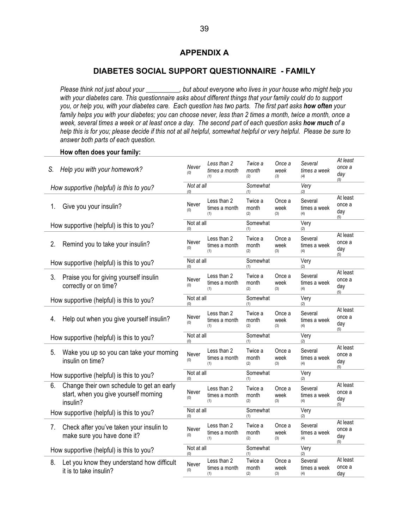# **APPENDIX A**

### **DIABETES SOCIAL SUPPORT QUESTIONNAIRE - FAMILY**

*Please think not just about your \_\_\_\_\_\_\_\_\_\_, but about everyone who lives in your house who might help you with your diabetes care. This questionnaire asks about different things that your family could do to support you, or help you, with your diabetes care. Each question has two parts. The first part asks how often your family helps you with your diabetes; you can choose never, less than 2 times a month, twice a month, once a week, several times a week or at least once a day. The second part of each question asks how much of a help this is for you; please decide if this not at all helpful, somewhat helpful or very helpful. Please be sure to answer both parts of each question.* 

#### **How often does your family:**

| S. | Help you with your homework?                                                                   | Never             | Less than 2<br>times a month<br>(1) | Twice a<br>month<br>(2) | Once a<br>week<br>(3) | Several<br>times a week<br>(4) | At least<br>once a<br>day<br>(5) |
|----|------------------------------------------------------------------------------------------------|-------------------|-------------------------------------|-------------------------|-----------------------|--------------------------------|----------------------------------|
|    | How supportive (helpful) is this to you?                                                       | Not at all<br>(0) |                                     | Somewhat<br>(1)         |                       | Very<br>(2)                    |                                  |
| 1. | Give you your insulin?                                                                         | Never<br>(0)      | Less than 2<br>times a month<br>(1) | Twice a<br>month<br>(2) | Once a<br>week<br>(3) | Several<br>times a week<br>(4) | At least<br>once a<br>day<br>(5) |
|    | How supportive (helpful) is this to you?                                                       | Not at all<br>(0) |                                     | Somewhat<br>(1)         |                       | Very<br>(2)                    |                                  |
| 2. | Remind you to take your insulin?                                                               | Never<br>(0)      | Less than 2<br>times a month<br>(1) | Twice a<br>month<br>(2) | Once a<br>week<br>(3) | Several<br>times a week<br>(4) | At least<br>once a<br>day<br>(5) |
|    | How supportive (helpful) is this to you?                                                       | Not at all<br>(0) |                                     | Somewhat<br>(1)         |                       | Very<br>(2)                    |                                  |
| 3. | Praise you for giving yourself insulin<br>correctly or on time?                                | Never<br>(0)      | Less than 2<br>times a month<br>(1) | Twice a<br>month<br>(2) | Once a<br>week<br>(3) | Several<br>times a week<br>(4) | At least<br>once a<br>day<br>(5) |
|    | How supportive (helpful) is this to you?                                                       | Not at all<br>(0) |                                     | Somewhat<br>(1)         |                       | Very<br>(2)                    |                                  |
| 4. | Help out when you give yourself insulin?                                                       | Never<br>(0)      | Less than 2<br>times a month<br>(1) | Twice a<br>month<br>(2) | Once a<br>week<br>(3) | Several<br>times a week<br>(4) | At least<br>once a<br>day<br>(5) |
|    | How supportive (helpful) is this to you?                                                       | Not at all<br>(0) |                                     | Somewhat<br>(1)         |                       | Very<br>(2)                    |                                  |
| 5. | Wake you up so you can take your morning<br>insulin on time?                                   | Never<br>(0)      | Less than 2<br>times a month<br>(1) | Twice a<br>month<br>(2) | Once a<br>week<br>(3) | Several<br>times a week<br>(4) | At least<br>once a<br>day<br>(5) |
|    | How supportive (helpful) is this to you?                                                       | Not at all<br>(0) |                                     | Somewhat<br>(1)         |                       | Very<br>(2)                    |                                  |
| 6. | Change their own schedule to get an early<br>start, when you give yourself morning<br>insulin? | Never<br>(0)      | Less than 2<br>times a month<br>(1) | Twice a<br>month<br>(2) | Once a<br>week<br>(3) | Several<br>times a week<br>(4) | At least<br>once a<br>day<br>(5) |
|    | How supportive (helpful) is this to you?                                                       | Not at all<br>(0) |                                     | Somewhat<br>(1)         |                       | Very<br>(2)                    |                                  |
| 7. | Check after you've taken your insulin to<br>make sure you have done it?                        | Never<br>(0)      | Less than 2<br>times a month<br>(1) | Twice a<br>month<br>(2) | Once a<br>week<br>(3) | Several<br>times a week<br>(4) | At least<br>once a<br>day<br>(5) |
|    | How supportive (helpful) is this to you?                                                       | Not at all<br>(0) |                                     | Somewhat<br>(1)         |                       | Very<br>(2)                    |                                  |
| 8. | Let you know they understand how difficult<br>it is to take insulin?                           | Never<br>(0)      | Less than 2<br>times a month<br>(1) | Twice a<br>month<br>(2) | Once a<br>week<br>(3) | Several<br>times a week<br>(4) | At least<br>once a<br>day        |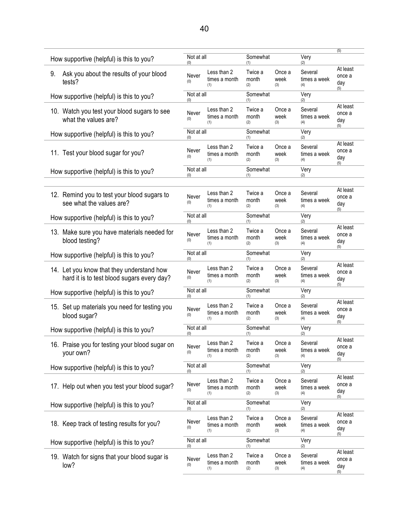|                                                                                         |                   |                                     |                         |                       |                                | (5)                              |
|-----------------------------------------------------------------------------------------|-------------------|-------------------------------------|-------------------------|-----------------------|--------------------------------|----------------------------------|
| How supportive (helpful) is this to you?                                                | Not at all<br>(0) |                                     | Somewhat<br>(1)         |                       | Very<br>(2)                    |                                  |
| 9.<br>Ask you about the results of your blood<br>tests?                                 | Never<br>(0)      | Less than 2<br>times a month<br>(1) | Twice a<br>month<br>(2) | Once a<br>week<br>(3) | Several<br>times a week<br>(4) | At least<br>once a<br>day<br>(5) |
| How supportive (helpful) is this to you?                                                | Not at all<br>(0) |                                     | Somewhat<br>(1)         |                       | Very<br>(2)                    |                                  |
| 10. Watch you test your blood sugars to see<br>what the values are?                     | Never<br>(0)      | Less than 2<br>times a month<br>(1) | Twice a<br>month<br>(2) | Once a<br>week<br>(3) | Several<br>times a week<br>(4) | At least<br>once a<br>day<br>(5) |
| How supportive (helpful) is this to you?                                                | Not at all<br>(0) |                                     | Somewhat<br>(1)         |                       | Very<br>(2)                    |                                  |
| 11. Test your blood sugar for you?                                                      | Never<br>(0)      | Less than 2<br>times a month<br>(1) | Twice a<br>month<br>(2) | Once a<br>week<br>(3) | Several<br>times a week<br>(4) | At least<br>once a<br>day<br>(5) |
| How supportive (helpful) is this to you?                                                | Not at all<br>(0) |                                     | Somewhat<br>(1)         |                       | Very<br>(2)                    |                                  |
| 12. Remind you to test your blood sugars to<br>see what the values are?                 | Never<br>(0)      | Less than 2<br>times a month<br>(1) | Twice a<br>month<br>(2) | Once a<br>week<br>(3) | Several<br>times a week<br>(4) | At least<br>once a<br>day<br>(5) |
| How supportive (helpful) is this to you?                                                | Not at all<br>(0) |                                     | Somewhat<br>(1)         |                       | Very<br>(2)                    |                                  |
| 13. Make sure you have materials needed for<br>blood testing?                           | Never<br>(0)      | Less than 2<br>times a month<br>(1) | Twice a<br>month<br>(2) | Once a<br>week<br>(3) | Several<br>times a week<br>(4) | At least<br>once a<br>day<br>(5) |
| How supportive (helpful) is this to you?                                                | Not at all<br>(0) |                                     | Somewhat<br>(1)         |                       | Very<br>(2)                    |                                  |
| 14. Let you know that they understand how<br>hard it is to test blood sugars every day? | Never<br>(0)      | Less than 2<br>times a month<br>(1) | Twice a<br>month<br>(2) | Once a<br>week<br>(3) | Several<br>times a week<br>(4) | At least<br>once a<br>day<br>(5) |
| How supportive (helpful) is this to you?                                                | Not at all<br>(0) |                                     | Somewhat<br>(1)         |                       | Very<br>(2)                    |                                  |
| 15. Set up materials you need for testing you<br>blood sugar?                           | Never<br>(0)      | Less than 2<br>times a month<br>(1) | Twice a<br>month<br>(2) | Once a<br>week<br>(3) | Several<br>times a week<br>(4) | At least<br>once a<br>day<br>(5) |
| How supportive (helpful) is this to you?                                                | Not at all<br>(0) |                                     | Somewhat<br>(1)         |                       | Very<br>(2)                    |                                  |
| 16. Praise you for testing your blood sugar on<br>your own?                             | Never<br>(0)      | Less than 2<br>times a month<br>(1) | Twice a<br>month<br>(2) | Once a<br>week<br>(3) | Several<br>times a week<br>(4) | At least<br>once a<br>day<br>(5) |
| How supportive (helpful) is this to you?                                                | Not at all<br>(0) |                                     | Somewhat<br>(1)         |                       | Very<br>(2)                    |                                  |
| 17. Help out when you test your blood sugar?                                            | Never<br>(0)      | Less than 2<br>times a month<br>(1) | Twice a<br>month<br>(2) | Once a<br>week<br>(3) | Several<br>times a week<br>(4) | At least<br>once a<br>day<br>(5) |
| How supportive (helpful) is this to you?                                                | Not at all<br>(0) |                                     | Somewhat<br>(1)         |                       | Very<br>(2)                    |                                  |
| 18. Keep track of testing results for you?                                              | Never<br>(0)      | Less than 2<br>times a month<br>(1) | Twice a<br>month<br>(2) | Once a<br>week<br>(3) | Several<br>times a week<br>(4) | At least<br>once a<br>day<br>(5) |
| How supportive (helpful) is this to you?                                                | Not at all<br>(0) |                                     | Somewhat<br>(1)         |                       | Very<br>(2)                    |                                  |
| 19. Watch for signs that your blood sugar is<br>low?                                    | Never<br>(0)      | Less than 2<br>times a month<br>(1) | Twice a<br>month<br>(2) | Once a<br>week<br>(3) | Several<br>times a week<br>(4) | At least<br>once a<br>day<br>(5) |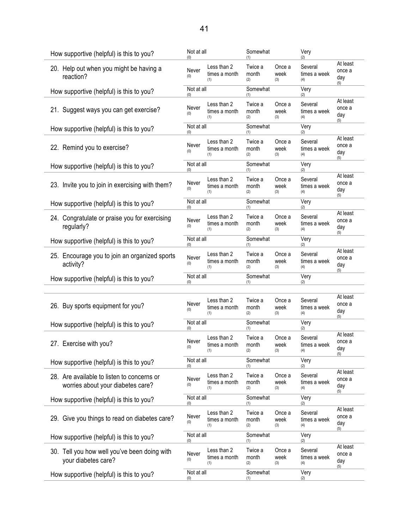| How supportive (helpful) is this to you?                                        | Not at all<br>(0)          |                                     | Somewhat<br>(1)         |                       | Very<br>(2)                    |                                  |
|---------------------------------------------------------------------------------|----------------------------|-------------------------------------|-------------------------|-----------------------|--------------------------------|----------------------------------|
| 20. Help out when you might be having a<br>reaction?                            | Never<br>(0)               | Less than 2<br>times a month<br>(1) | Twice a<br>month<br>(2) | Once a<br>week<br>(3) | Several<br>times a week<br>(4) | At least<br>once a<br>day<br>(5) |
| How supportive (helpful) is this to you?                                        | Not at all<br>(0)          |                                     | Somewhat<br>(1)         |                       | Very<br>(2)                    |                                  |
| 21. Suggest ways you can get exercise?                                          | Never<br>(0)               | Less than 2<br>times a month<br>(1) | Twice a<br>month<br>(2) | Once a<br>week<br>(3) | Several<br>times a week<br>(4) | At least<br>once a<br>day<br>(5) |
| How supportive (helpful) is this to you?                                        | Not at all<br>(0)          |                                     | Somewhat<br>(1)         |                       | Very<br>(2)                    |                                  |
| 22. Remind you to exercise?                                                     | Never<br>(0)               | Less than 2<br>times a month<br>(1) | Twice a<br>month<br>(2) | Once a<br>week<br>(3) | Several<br>times a week<br>(4) | At least<br>once a<br>day<br>(5) |
| How supportive (helpful) is this to you?                                        | Not at all<br>(0)          |                                     | Somewhat<br>(1)         |                       | Very<br>(2)                    |                                  |
| 23. Invite you to join in exercising with them?                                 | Never<br>(0)               | Less than 2<br>times a month<br>(1) | Twice a<br>month<br>(2) | Once a<br>week<br>(3) | Several<br>times a week<br>(4) | At least<br>once a<br>day<br>(5) |
| How supportive (helpful) is this to you?                                        | Not at all<br>(0)          |                                     | Somewhat<br>(1)         |                       | Very<br>(2)                    |                                  |
| 24. Congratulate or praise you for exercising<br>regularly?                     | Never<br>(0)               | Less than 2<br>times a month<br>(1) | Twice a<br>month<br>(2) | Once a<br>week<br>(3) | Several<br>times a week<br>(4) | At least<br>once a<br>day<br>(5) |
| How supportive (helpful) is this to you?                                        | Not at all<br>(0)          |                                     | Somewhat<br>(1)         |                       | Very<br>(2)                    |                                  |
| 25. Encourage you to join an organized sports                                   | Never                      | Less than 2<br>times a month        | Twice a<br>month        | Once a<br>week        | Several<br>times a week        | At least<br>once a               |
| activity?                                                                       | (0)                        | (1)                                 | (2)                     | (3)                   | (4)                            | day<br>(5)                       |
| How supportive (helpful) is this to you?                                        | Not at all<br>(0)          |                                     | Somewhat<br>(1)         |                       | Very<br>(2)                    |                                  |
|                                                                                 |                            |                                     |                         |                       |                                |                                  |
| 26. Buy sports equipment for you?                                               | Never<br>(0)               | Less than 2<br>times a month<br>(1) | Twice a<br>month<br>(2) | Once a<br>week<br>(3) | Several<br>times a week<br>(4) | At least<br>once a<br>day<br>(5) |
| How supportive (helpful) is this to you?                                        | Not at all<br>(0)          |                                     | Somewhat<br>(1)         |                       | Very<br>(2)                    |                                  |
| 27. Exercise with you?                                                          | Never<br>(0)               | Less than 2<br>times a month<br>(1) | Twice a<br>month<br>(2) | Once a<br>week<br>(3) | Several<br>times a week<br>(4) | At least<br>once a<br>day<br>(5) |
| How supportive (helpful) is this to you?                                        | Not at all<br>(0)          |                                     | Somewhat<br>(1)         |                       | Very<br>(2)                    |                                  |
| 28. Are available to listen to concerns or<br>worries about your diabetes care? | Never<br>(0)               | Less than 2<br>times a month<br>(1) | Twice a<br>month<br>(2) | Once a<br>week<br>(3) | Several<br>times a week<br>(4) | At least<br>once a<br>day        |
| How supportive (helpful) is this to you?                                        | Not at all<br>(0)          |                                     | Somewhat<br>(1)         |                       | Very<br>(2)                    | (5)                              |
| 29. Give you things to read on diabetes care?                                   | Never<br>(0)               | Less than 2<br>times a month<br>(1) | Twice a<br>month<br>(2) | Once a<br>week<br>(3) | Several<br>times a week<br>(4) | At least<br>once a<br>day<br>(5) |
| How supportive (helpful) is this to you?                                        | Not at all<br>(0)          |                                     | Somewhat<br>(1)         |                       | Very<br>(2)                    |                                  |
| 30. Tell you how well you've been doing with<br>your diabetes care?             | Never<br>(0)<br>Not at all | Less than 2<br>times a month<br>(1) | Twice a<br>month<br>(2) | Once a<br>week<br>(3) | Several<br>times a week<br>(4) | At least<br>once a<br>day<br>(5) |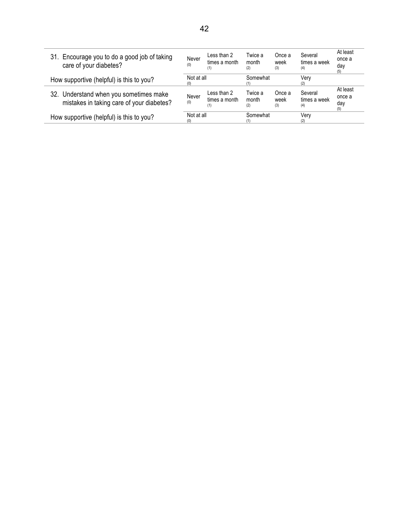| 31. Encourage you to do a good job of taking<br>care of your diabetes?              | Never<br>(0)      | Less than 2<br>times a month<br>(1) | Twice a<br>month<br>(2) | Once a<br>week<br>(3) | Several<br>times a week<br>(4) | At least<br>once a<br>day<br>(5) |
|-------------------------------------------------------------------------------------|-------------------|-------------------------------------|-------------------------|-----------------------|--------------------------------|----------------------------------|
| How supportive (helpful) is this to you?                                            | Not at all<br>(0) |                                     | Somewhat                |                       | Very<br>(2)                    |                                  |
| 32. Understand when you sometimes make<br>mistakes in taking care of your diabetes? | Never<br>(0)      | Less than 2<br>times a month<br>(1) | Twice a<br>month<br>(2) | Once a<br>week<br>(3) | Several<br>times a week<br>(4) | At least<br>once a<br>day<br>(5) |
| How supportive (helpful) is this to you?                                            | Not at all<br>(0) |                                     | Somewhat                |                       | Verv<br>(2)                    |                                  |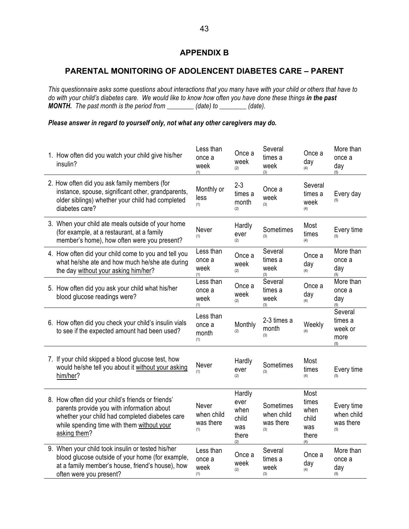# **APPENDIX B**

# **PARENTAL MONITORING OF ADOLENCENT DIABETES CARE – PARENT**

*This questionnaire asks some questions about interactions that you many have with your child or others that have to*  do with your child's diabetes care. We would like to know how often you have done these things in the past *MONTH. The past month is the period from \_\_\_\_\_\_\_\_ (date) to \_\_\_\_\_\_\_\_ (date).* 

#### *Please answer in regard to yourself only, not what any other caregivers may do.*

| 1. How often did you watch your child give his/her<br>insulin?                                                                                                                                                  | Less than<br>once a<br>week<br>(1)      | Once a<br>week<br>(2)                                  | Several<br>times a<br>week<br>(3)           | Once a<br>day<br>(4)                                  | More than<br>once a<br>day<br>(5)            |
|-----------------------------------------------------------------------------------------------------------------------------------------------------------------------------------------------------------------|-----------------------------------------|--------------------------------------------------------|---------------------------------------------|-------------------------------------------------------|----------------------------------------------|
| 2. How often did you ask family members (for<br>instance, spouse, significant other, grandparents,<br>older siblings) whether your child had completed<br>diabetes care?                                        | Monthly or<br>less<br>(1)               | $2 - 3$<br>times a<br>month<br>(2)                     | Once a<br>week<br>(3)                       | Several<br>times a<br>week<br>(4)                     | Every day                                    |
| 3. When your child ate meals outside of your home<br>(for example, at a restaurant, at a family<br>member's home), how often were you present?                                                                  | Never<br>(1)                            | Hardly<br>ever<br>(2)                                  | Sometimes<br>(3)                            | Most<br>times<br>(4)                                  | Every time<br>(5)                            |
| 4. How often did your child come to you and tell you<br>what he/she ate and how much he/she ate during<br>the day without your asking him/her?                                                                  | Less than<br>once a<br>week<br>(1)      | Once a<br>week<br>(2)                                  | Several<br>times a<br>week<br>(3)           | Once a<br>day<br>(4)                                  | More than<br>once a<br>day<br>(5)            |
| 5. How often did you ask your child what his/her<br>blood glucose readings were?                                                                                                                                | Less than<br>once a<br>week<br>(1)      | Once a<br>week<br>(2)                                  | Several<br>times a<br>week<br>(3)           | Once a<br>day<br>(4)                                  | More than<br>once a<br>day<br>(5)            |
| 6. How often did you check your child's insulin vials<br>to see if the expected amount had been used?                                                                                                           | Less than<br>once a<br>month<br>(1)     | Monthly<br>(2)                                         | 2-3 times a<br>month<br>(3)                 | Weekly<br>(4)                                         | Several<br>times a<br>week or<br>more<br>(5) |
| 7. If your child skipped a blood glucose test, how<br>would he/she tell you about it without your asking<br>him/her?                                                                                            | Never<br>(1)                            | Hardly<br>ever<br>(2)                                  | Sometimes<br>(3)                            | Most<br>times<br>(4)                                  | Every time<br>(5)                            |
| 8. How often did your child's friends or friends'<br>parents provide you with information about<br>whether your child had completed diabetes care<br>while spending time with them without your<br>asking them? | Never<br>when child<br>was there<br>(1) | Hardly<br>ever<br>when<br>child<br>was<br>there<br>(2) | Sometimes<br>when child<br>was there<br>(3) | Most<br>times<br>when<br>child<br>was<br>there<br>(4) | Every time<br>when child<br>was there<br>(5) |
| 9. When your child took insulin or tested his/her<br>blood glucose outside of your home (for example,<br>at a family member's house, friend's house), how<br>often were you present?                            | Less than<br>once a<br>week<br>(1)      | Once a<br>week<br>(2)                                  | Several<br>times a<br>week<br>(3)           | Once a<br>day<br>(4)                                  | More than<br>once a<br>day<br>(5)            |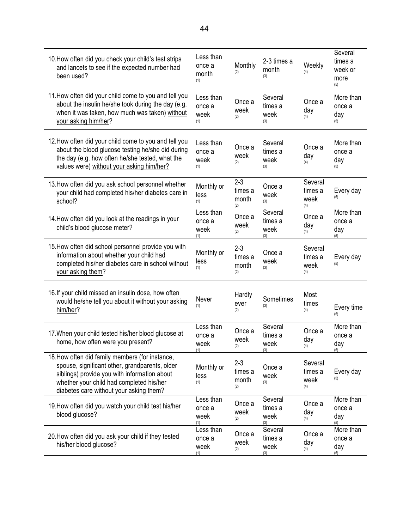| 10. How often did you check your child's test strips<br>and lancets to see if the expected number had<br>been used?                                                                                                                      | Less than<br>once a<br>month<br>(1) | Monthly<br>(2)                     | 2-3 times a<br>month<br>(3)       | Weekly<br>(4)                     | Several<br>times a<br>week or<br>more<br>(5) |
|------------------------------------------------------------------------------------------------------------------------------------------------------------------------------------------------------------------------------------------|-------------------------------------|------------------------------------|-----------------------------------|-----------------------------------|----------------------------------------------|
| 11. How often did your child come to you and tell you<br>about the insulin he/she took during the day (e.g.<br>when it was taken, how much was taken) without<br>your asking him/her?                                                    | Less than<br>once a<br>week<br>(1)  | Once a<br>week<br>(2)              | Several<br>times a<br>week<br>(3) | Once a<br>day<br>(4)              | More than<br>once a<br>day<br>(5)            |
| 12. How often did your child come to you and tell you<br>about the blood glucose testing he/she did during<br>the day (e.g. how often he/she tested, what the<br>values were) without your asking him/her?                               | Less than<br>once a<br>week<br>(1)  | Once a<br>week<br>(2)              | Several<br>times a<br>week<br>(3) | Once a<br>day<br>(4)              | More than<br>once a<br>day<br>(5)            |
| 13. How often did you ask school personnel whether<br>your child had completed his/her diabetes care in<br>school?                                                                                                                       | Monthly or<br>less<br>(1)           | $2 - 3$<br>times a<br>month<br>(2) | Once a<br>week<br>(3)             | Several<br>times a<br>week<br>(4) | Every day<br>(5)                             |
| 14. How often did you look at the readings in your<br>child's blood glucose meter?                                                                                                                                                       | Less than<br>once a<br>week<br>(1)  | Once a<br>week<br>(2)              | Several<br>times a<br>week<br>(3) | Once a<br>day<br>(4)              | More than<br>once a<br>day<br>(5)            |
| 15. How often did school personnel provide you with<br>information about whether your child had<br>completed his/her diabetes care in school without<br>your asking them?                                                                | Monthly or<br>less<br>(1)           | $2 - 3$<br>times a<br>month<br>(2) | Once a<br>week<br>(3)             | Several<br>times a<br>week<br>(4) | Every day<br>(5)                             |
| 16. If your child missed an insulin dose, how often<br>would he/she tell you about it without your asking<br>him/her?                                                                                                                    | Never<br>(1)                        | Hardly<br>ever<br>(2)              | Sometimes<br>(3)                  | Most<br>times<br>(4)              | Every time<br>(5)                            |
| 17. When your child tested his/her blood glucose at<br>home, how often were you present?                                                                                                                                                 | Less than<br>once a<br>week<br>(1)  | Once a<br>week<br>(2)              | Several<br>times a<br>week<br>(3) | Once a<br>day<br>(4)              | More than<br>once a<br>day<br>(5)            |
| 18. How often did family members (for instance,<br>spouse, significant other, grandparents, older<br>siblings) provide you with information about<br>whether your child had completed his/her<br>diabetes care without your asking them? | Monthly or<br>less<br>(1)           | $2 - 3$<br>times a<br>month<br>(2) | Once a<br>week<br>(3)             | Several<br>times a<br>week<br>(4) | Every day<br>(5)                             |
| 19. How often did you watch your child test his/her<br>blood glucose?                                                                                                                                                                    | Less than<br>once a<br>week<br>(1)  | Once a<br>week<br>(2)              | Several<br>times a<br>week<br>(3) | Once a<br>day<br>(4)              | More than<br>once a<br>day<br>(5)            |
| 20. How often did you ask your child if they tested<br>his/her blood glucose?                                                                                                                                                            | Less than<br>once a<br>week<br>(1)  | Once a<br>week<br>(2)              | Several<br>times a<br>week<br>(3) | Once a<br>day<br>(4)              | More than<br>once a<br>day<br>(5)            |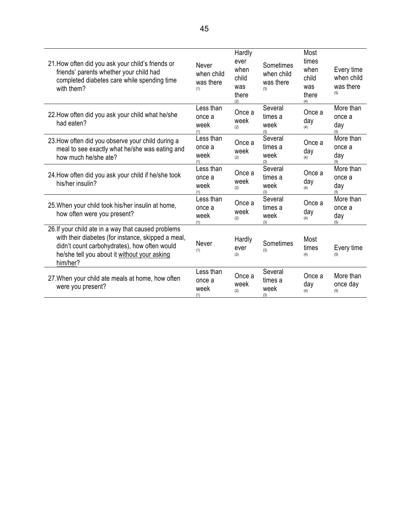| 21. How often did you ask your child's friends or<br>friends' parents whether your child had<br>completed diabetes care while spending time<br>with them?                                                             | Never<br>when child<br>was there<br>(1) | Hardly<br>ever<br>when<br>child<br>was<br>there<br>(2) | Sometimes<br>when child<br>was there<br>(3) | Most<br>times<br>when<br>child<br>was<br>there<br>(4) | Every time<br>when child<br>was there<br>(5) |
|-----------------------------------------------------------------------------------------------------------------------------------------------------------------------------------------------------------------------|-----------------------------------------|--------------------------------------------------------|---------------------------------------------|-------------------------------------------------------|----------------------------------------------|
| 22. How often did you ask your child what he/she<br>had eaten?                                                                                                                                                        | Less than<br>once a<br>week<br>(1)      | Once a<br>week<br>(2)                                  | Several<br>times a<br>week<br>(3)           | Once a<br>day<br>(4)                                  | More than<br>once a<br>day<br>(5)            |
| 23. How often did you observe your child during a<br>meal to see exactly what he/she was eating and<br>how much he/she ate?                                                                                           | Less than<br>once a<br>week<br>(1)      | Once a<br>week<br>(2)                                  | Several<br>times a<br>week<br>(3)           | Once a<br>day<br>(4)                                  | More than<br>once a<br>day<br>(5)            |
| 24. How often did you ask your child if he/she took<br>his/her insulin?                                                                                                                                               | Less than<br>once a<br>week<br>(1)      | Once a<br>week<br>(2)                                  | Several<br>times a<br>week<br>(3)           | Once a<br>day<br>(4)                                  | More than<br>once a<br>day<br>(5)            |
| 25. When your child took his/her insulin at home,<br>how often were you present?                                                                                                                                      | Less than<br>once a<br>week<br>(1)      | Once a<br>week<br>(2)                                  | Several<br>times a<br>week<br>(3)           | Once a<br>day<br>(4)                                  | More than<br>once a<br>day<br>(5)            |
| 26. If your child ate in a way that caused problems<br>with their diabetes (for instance, skipped a meal,<br>didn't count carbohydrates), how often would<br>he/she tell you about it without your asking<br>him/her? | Never<br>(1)                            | Hardly<br>ever<br>(2)                                  | Sometimes<br>(3)                            | Most<br>times<br>(4)                                  | Every time<br>(5)                            |
| 27. When your child ate meals at home, how often<br>were you present?                                                                                                                                                 | Less than<br>once a<br>week<br>(1)      | Once a<br>week<br>(2)                                  | Several<br>times a<br>week<br>(3)           | Once a<br>day<br>(4)                                  | More than<br>once day<br>(5)                 |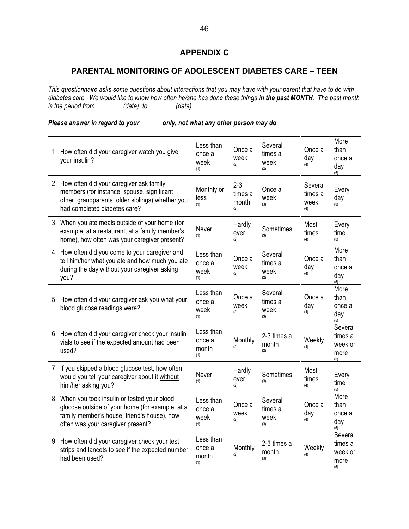# **APPENDIX C**

# **PARENTAL MONITORING OF ADOLESCENT DIABETES CARE – TEEN**

*This questionnaire asks some questions about interactions that you may have with your parent that have to do with diabetes care. We would like to know how often he/she has done these things in the past MONTH. The past month is the period from \_\_\_\_\_\_\_\_(date) to \_\_\_\_\_\_\_\_(date).* 

# *Please answer in regard to your \_\_\_\_\_\_ only, not what any other person may do.*

| 1. How often did your caregiver watch you give<br>your insulin?                                                                                                                      | Less than<br>once a<br>week<br>(1)  | Once a<br>week<br>(2)              | Several<br>times a<br>week<br>(3) | Once a<br>day<br>(4)              | More<br>than<br>once a<br>day<br>(5)         |
|--------------------------------------------------------------------------------------------------------------------------------------------------------------------------------------|-------------------------------------|------------------------------------|-----------------------------------|-----------------------------------|----------------------------------------------|
| 2. How often did your caregiver ask family<br>members (for instance, spouse, significant<br>other, grandparents, older siblings) whether you<br>had completed diabetes care?         | Monthly or<br>less<br>(1)           | $2 - 3$<br>times a<br>month<br>(2) | Once a<br>week<br>(3)             | Several<br>times a<br>week<br>(4) | Every<br>day<br>(5)                          |
| 3. When you ate meals outside of your home (for<br>example, at a restaurant, at a family member's<br>home), how often was your caregiver present?                                    | Never<br>(1)                        | Hardly<br>ever<br>(2)              | Sometimes<br>(3)                  | Most<br>times<br>(4)              | Every<br>time<br>(5)                         |
| 4. How often did you come to your caregiver and<br>tell him/her what you ate and how much you ate<br>during the day without your caregiver asking<br>you?                            | Less than<br>once a<br>week<br>(1)  | Once a<br>week<br>(2)              | Several<br>times a<br>week<br>(3) | Once a<br>day<br>(4)              | More<br>than<br>once a<br>day<br>(5)         |
| 5. How often did your caregiver ask you what your<br>blood glucose readings were?                                                                                                    | Less than<br>once a<br>week<br>(1)  | Once a<br>week<br>(2)              | Several<br>times a<br>week<br>(3) | Once a<br>day<br>(4)              | More<br>than<br>once a<br>day<br>(5)         |
| 6. How often did your caregiver check your insulin<br>vials to see if the expected amount had been<br>used?                                                                          | Less than<br>once a<br>month<br>(1) | Monthly<br>(2)                     | 2-3 times a<br>month<br>(3)       | Weekly<br>(4)                     | Several<br>times a<br>week or<br>more<br>(5) |
| 7. If you skipped a blood glucose test, how often<br>would you tell your caregiver about it without<br>him/her asking you?                                                           | Never<br>(1)                        | Hardly<br>ever<br>(2)              | Sometimes<br>(3)                  | Most<br>times<br>(4)              | Every<br>time<br>(5)                         |
| 8. When you took insulin or tested your blood<br>glucose outside of your home (for example, at a<br>family member's house, friend's house), how<br>often was your caregiver present? | Less than<br>once a<br>week<br>(1)  | Once a<br>week<br>(2)              | Several<br>times a<br>week<br>(3) | Once a<br>day<br>(4)              | More<br>than<br>once a<br>day<br>(5)         |
| 9. How often did your caregiver check your test<br>strips and lancets to see if the expected number<br>had been used?                                                                | Less than<br>once a<br>month<br>(1) | Monthly<br>(2)                     | 2-3 times a<br>month<br>(3)       | Weekly<br>(4)                     | Several<br>times a<br>week or<br>more<br>(5) |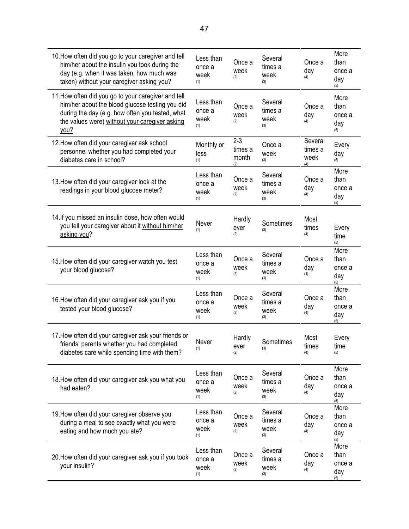| 10. How often did you go to your caregiver and tell<br>him/her about the insulin you took during the<br>day (e.g. when it was taken, how much was<br>taken) without your caregiver asking you?                      | Less than<br>once a<br>week<br>(1) | Once a<br>week<br>(2)              | Several<br>times a<br>week<br>(3) | Once a<br>day<br>(4)              | More<br>than<br>once a<br>day<br>(5) |
|---------------------------------------------------------------------------------------------------------------------------------------------------------------------------------------------------------------------|------------------------------------|------------------------------------|-----------------------------------|-----------------------------------|--------------------------------------|
| 11. How often did you go to your caregiver and tell<br>him/her about the blood glucose testing you did<br>during the day (e.g. how often you tested, what<br>the values were) without your caregiver asking<br>you? | Less than<br>once a<br>week<br>(1) | Once a<br>week<br>(2)              | Several<br>times a<br>week<br>(3) | Once a<br>day<br>(4)              | More<br>than<br>once a<br>day<br>(5) |
| 12. How often did your caregiver ask school<br>personnel whether you had completed your<br>diabetes care in school?                                                                                                 | Monthly or<br>less<br>(1)          | $2 - 3$<br>times a<br>month<br>(2) | Once a<br>week<br>(3)             | Several<br>times a<br>week<br>(4) | Every<br>day<br>(5)                  |
| 13. How often did your caregiver look at the<br>readings in your blood glucose meter?                                                                                                                               | Less than<br>once a<br>week<br>(1) | Once a<br>week<br>(2)              | Several<br>times a<br>week<br>(3) | Once a<br>day<br>(4)              | More<br>than<br>once a<br>day<br>(5) |
| 14. If you missed an insulin dose, how often would<br>you tell your caregiver about it without him/her<br>asking you?                                                                                               | Never<br>(1)                       | Hardly<br>ever<br>(2)              | Sometimes<br>(3)                  | Most<br>times<br>(4)              | Every<br>time<br>(5)                 |
| 15. How often did your caregiver watch you test<br>your blood glucose?                                                                                                                                              | Less than<br>once a<br>week<br>(1) | Once a<br>week<br>(2)              | Several<br>times a<br>week<br>(3) | Once a<br>day<br>(4)              | More<br>than<br>once a<br>day<br>(5) |
| 16. How often did your caregiver ask you if you<br>tested your blood glucose?                                                                                                                                       | Less than<br>once a<br>week<br>(1) | Once a<br>week<br>(2)              | Several<br>times a<br>week<br>(3) | Once a<br>day<br>(4)              | More<br>than<br>once a<br>day<br>(5) |
| 17. How often did your caregiver ask your friends or<br>friends' parents whether you had completed<br>diabetes care while spending time with them?                                                                  | Never<br>(1)                       | Hardly<br>ever<br>(2)              | Sometimes<br>(3)                  | Most<br>times<br>(4)              | Every<br>time<br>(5)                 |
| 18. How often did your caregiver ask you what you<br>had eaten?                                                                                                                                                     | Less than<br>once a<br>week<br>(1) | Once a<br>week<br>(2)              | Several<br>times a<br>week<br>(3) | Once a<br>day<br>(4)              | More<br>than<br>once a<br>day<br>(5) |
| 19. How often did your caregiver observe you<br>during a meal to see exactly what you were<br>eating and how much you ate?                                                                                          | Less than<br>once a<br>week<br>(1) | Once a<br>week<br>(2)              | Several<br>times a<br>week<br>(3) | Once a<br>day<br>(4)              | More<br>than<br>once a<br>day<br>(5) |
| 20. How often did your caregiver ask you if you took<br>your insulin?                                                                                                                                               | Less than<br>once a<br>week<br>(1) | Once a<br>week<br>(2)              | Several<br>times a<br>week<br>(3) | Once a<br>day<br>(4)              | More<br>than<br>once a<br>day<br>(5) |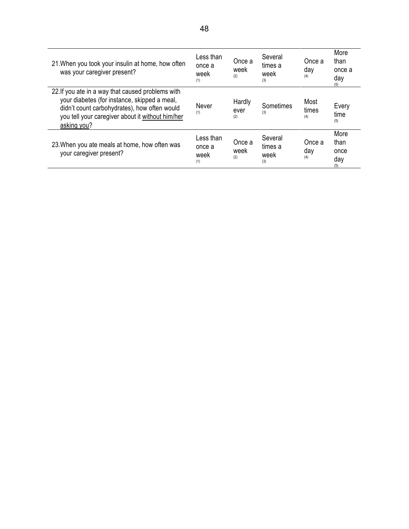| 21. When you took your insulin at home, how often<br>was your caregiver present?                                                                                                                                     | Less than<br>once a<br>week<br>(1) | Once a<br>week<br>(2) | Several<br>times a<br>week<br>(3) | Once a<br>day<br>(4) | More<br>than<br>once a<br>day<br>(5) |
|----------------------------------------------------------------------------------------------------------------------------------------------------------------------------------------------------------------------|------------------------------------|-----------------------|-----------------------------------|----------------------|--------------------------------------|
| 22. If you ate in a way that caused problems with<br>your diabetes (for instance, skipped a meal,<br>didn't count carbohydrates), how often would<br>you tell your caregiver about it without him/her<br>asking you? | Never<br>(1)                       | Hardly<br>ever<br>(2) | Sometimes<br>(3)                  | Most<br>times<br>(4) | Every<br>time<br>(5)                 |
| 23. When you ate meals at home, how often was<br>your caregiver present?                                                                                                                                             | Less than<br>once a<br>week<br>(1) | Once a<br>week<br>(2) | Several<br>times a<br>week<br>(3) | Once a<br>day<br>(4) | More<br>than<br>once<br>day<br>(5)   |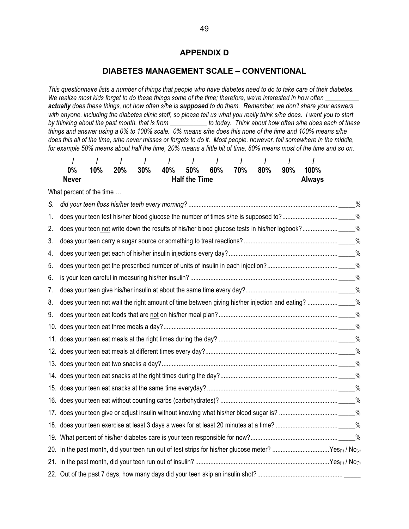# **APPENDIX D**

#### **DIABETES MANAGEMENT SCALE – CONVENTIONAL**

*This questionnaire lists a number of things that people who have diabetes need to do to take care of their diabetes. We realize most kids forget to do these things some of the time; therefore, we're interested in how often \_\_\_\_\_\_\_\_\_\_ actually does these things, not how often s/he is supposed to do them. Remember, we don't share your answers with anyone, including the diabetes clinic staff, so please tell us what you really think s/he does. I want you to start by thinking about the past month, that is from \_\_\_\_\_\_\_\_\_\_\_ to today. Think about how often s/he does each of these things and answer using a 0% to 100% scale. 0% means s/he does this none of the time and 100% means s/he does this all of the time, s/he never misses or forgets to do it. Most people, however, fall somewhere in the middle, for example 50% means about half the time, 20% means a little bit of time, 80% means most of the time and so on.* 



What percent of the time …

| S.  |                                                                                                       |  |
|-----|-------------------------------------------------------------------------------------------------------|--|
| 1.  |                                                                                                       |  |
| 2.  |                                                                                                       |  |
| 3.  |                                                                                                       |  |
| 4.  |                                                                                                       |  |
| 5.  |                                                                                                       |  |
| 6.  |                                                                                                       |  |
| 7.  |                                                                                                       |  |
| 8.  |                                                                                                       |  |
| 9.  |                                                                                                       |  |
| 10. |                                                                                                       |  |
|     |                                                                                                       |  |
|     |                                                                                                       |  |
|     |                                                                                                       |  |
|     |                                                                                                       |  |
|     |                                                                                                       |  |
|     |                                                                                                       |  |
|     |                                                                                                       |  |
|     |                                                                                                       |  |
|     |                                                                                                       |  |
|     | 20. In the past month, did your teen run out of test strips for his/her glucose meter? Yes(1) / No(0) |  |
|     |                                                                                                       |  |
|     |                                                                                                       |  |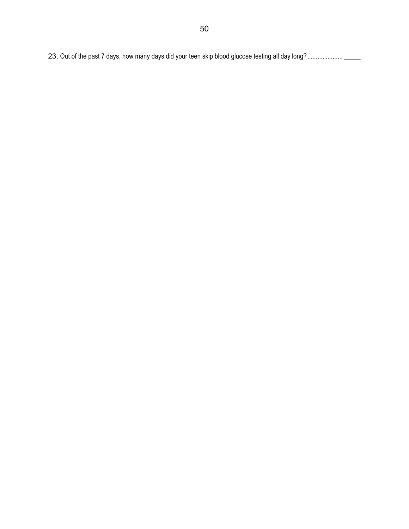23. Out of the past 7 days, how many days did your teen skip blood glucose testing all day long?..................... \_\_\_\_\_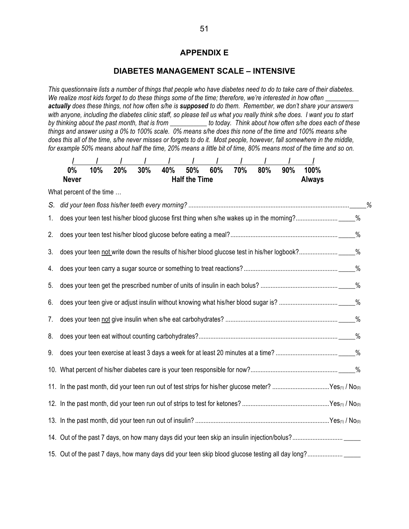### **APPENDIX E**

#### **DIABETES MANAGEMENT SCALE – INTENSIVE**

*This questionnaire lists a number of things that people who have diabetes need to do to take care of their diabetes.*  We realize most kids forget to do these things some of the time; therefore, we're interested in how often *actually does these things, not how often s/he is supposed to do them. Remember, we don't share your answers with anyone, including the diabetes clinic staff, so please tell us what you really think s/he does. I want you to start by thinking about the past month, that is from \_\_\_\_\_\_\_\_\_\_\_ to today. Think about how often s/he does each of these things and answer using a 0% to 100% scale. 0% means s/he does this none of the time and 100% means s/he does this all of the time, s/he never misses or forgets to do it. Most people, however, fall somewhere in the middle, for example 50% means about half the time, 20% means a little bit of time, 80% means most of the time and so on.* 

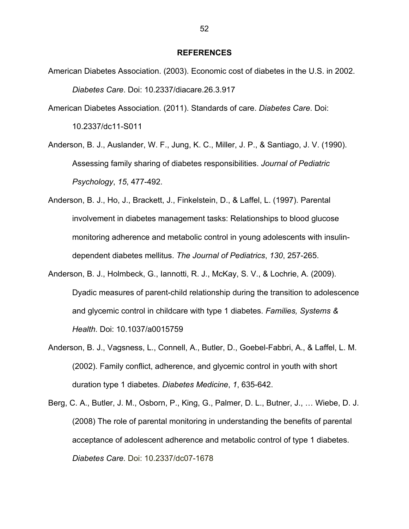#### **REFERENCES**

- American Diabetes Association. (2003). Economic cost of diabetes in the U.S. in 2002. *Diabetes Care*. Doi: 10.2337/diacare.26.3.917
- American Diabetes Association. (2011). Standards of care. *Diabetes Care*. Doi: 10.2337/dc11-S011
- Anderson, B. J., Auslander, W. F., Jung, K. C., Miller, J. P., & Santiago, J. V. (1990). Assessing family sharing of diabetes responsibilities. *Journal of Pediatric Psychology*, *15*, 477-492.
- Anderson, B. J., Ho, J., Brackett, J., Finkelstein, D., & Laffel, L. (1997). Parental involvement in diabetes management tasks: Relationships to blood glucose monitoring adherence and metabolic control in young adolescents with insulindependent diabetes mellitus. *The Journal of Pediatrics*, *130*, 257-265.
- Anderson, B. J., Holmbeck, G., Iannotti, R. J., McKay, S. V., & Lochrie, A. (2009). Dyadic measures of parent-child relationship during the transition to adolescence and glycemic control in childcare with type 1 diabetes. *Families, Systems & Health*. Doi: 10.1037/a0015759
- Anderson, B. J., Vagsness, L., Connell, A., Butler, D., Goebel-Fabbri, A., & Laffel, L. M. (2002). Family conflict, adherence, and glycemic control in youth with short duration type 1 diabetes. *Diabetes Medicine*, *1*, 635-642.
- Berg, C. A., Butler, J. M., Osborn, P., King, G., Palmer, D. L., Butner, J., … Wiebe, D. J. (2008) The role of parental monitoring in understanding the benefits of parental acceptance of adolescent adherence and metabolic control of type 1 diabetes. *Diabetes Care.* Doi: 10.2337/dc07-1678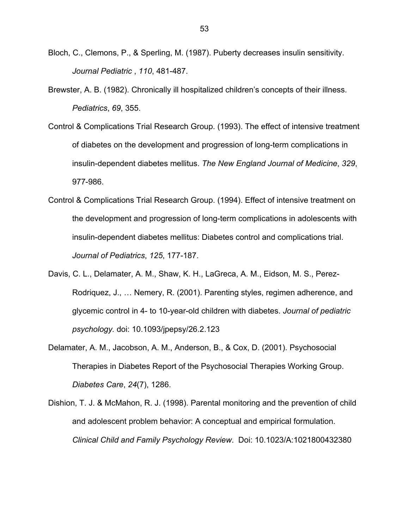- Bloch, C., Clemons, P., & Sperling, M. (1987). Puberty decreases insulin sensitivity. *Journal Pediatric* , *110*, 481-487.
- Brewster, A. B. (1982). Chronically ill hospitalized children's concepts of their illness. *Pediatrics*, *69*, 355.
- Control & Complications Trial Research Group. (1993). The effect of intensive treatment of diabetes on the development and progression of long-term complications in insulin-dependent diabetes mellitus. *The New England Journal of Medicine*, *329*, 977-986.
- Control & Complications Trial Research Group. (1994). Effect of intensive treatment on the development and progression of long-term complications in adolescents with insulin-dependent diabetes mellitus: Diabetes control and complications trial. *Journal of Pediatrics*, *125*, 177-187.
- Davis, C. L., Delamater, A. M., Shaw, K. H., LaGreca, A. M., Eidson, M. S., Perez-Rodriquez, J., … Nemery, R. (2001). Parenting styles, regimen adherence, and glycemic control in 4- to 10-year-old children with diabetes. *Journal of pediatric psychology.* doi: 10.1093/jpepsy/26.2.123
- Delamater, A. M., Jacobson, A. M., Anderson, B., & Cox, D. (2001). Psychosocial Therapies in Diabetes Report of the Psychosocial Therapies Working Group. *Diabetes Care*, *24*(7), 1286.
- Dishion, T. J. & McMahon, R. J. (1998). Parental monitoring and the prevention of child and adolescent problem behavior: A conceptual and empirical formulation. *Clinical Child and Family Psychology Review*. Doi: 10.1023/A:1021800432380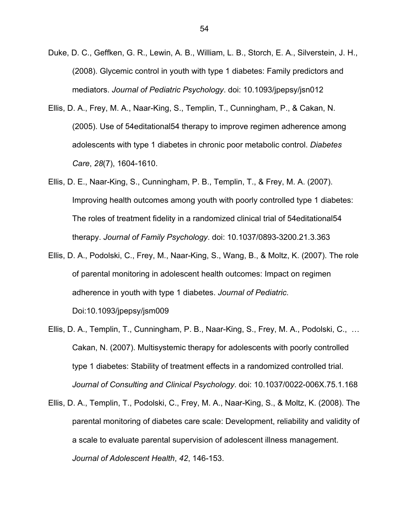- Duke, D. C., Geffken, G. R., Lewin, A. B., William, L. B., Storch, E. A., Silverstein, J. H., (2008). Glycemic control in youth with type 1 diabetes: Family predictors and mediators. *Journal of Pediatric Psychology*. doi: 10.1093/jpepsy/jsn012
- Ellis, D. A., Frey, M. A., Naar-King, S., Templin, T., Cunningham, P., & Cakan, N. (2005). Use of 54editational54 therapy to improve regimen adherence among adolescents with type 1 diabetes in chronic poor metabolic control. *Diabetes Care*, *28*(7), 1604-1610.
- Ellis, D. E., Naar-King, S., Cunningham, P. B., Templin, T., & Frey, M. A. (2007). Improving health outcomes among youth with poorly controlled type 1 diabetes: The roles of treatment fidelity in a randomized clinical trial of 54editational54 therapy. *Journal of Family Psychology*. doi: 10.1037/0893-3200.21.3.363
- Ellis, D. A., Podolski, C., Frey, M., Naar-King, S., Wang, B., & Moltz, K. (2007). The role of parental monitoring in adolescent health outcomes: Impact on regimen adherence in youth with type 1 diabetes. *Journal of Pediatric*. Doi:10.1093/jpepsy/jsm009
- Ellis, D. A., Templin, T., Cunningham, P. B., Naar-King, S., Frey, M. A., Podolski, C., … Cakan, N. (2007). Multisystemic therapy for adolescents with poorly controlled type 1 diabetes: Stability of treatment effects in a randomized controlled trial. *Journal of Consulting and Clinical Psychology*. doi: 10.1037/0022-006X.75.1.168
- Ellis, D. A., Templin, T., Podolski, C., Frey, M. A., Naar-King, S., & Moltz, K. (2008). The parental monitoring of diabetes care scale: Development, reliability and validity of a scale to evaluate parental supervision of adolescent illness management. *Journal of Adolescent Health*, *42*, 146-153.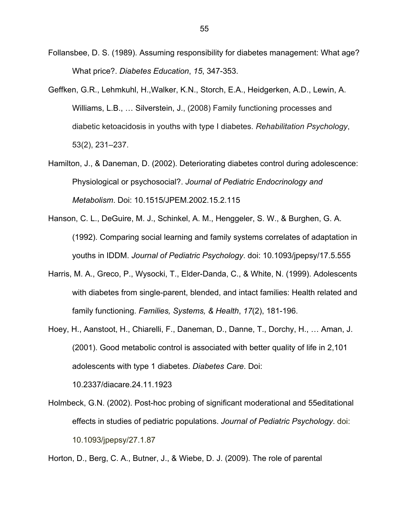Follansbee, D. S. (1989). Assuming responsibility for diabetes management: What age? What price?. *Diabetes Education*, *15*, 347-353.

- Geffken, G.R., Lehmkuhl, H.,Walker, K.N., Storch, E.A., Heidgerken, A.D., Lewin, A. Williams, L.B., … Silverstein, J., (2008) Family functioning processes and diabetic ketoacidosis in youths with type I diabetes. *Rehabilitation Psychology*, 53(2), 231–237.
- Hamilton, J., & Daneman, D. (2002). Deteriorating diabetes control during adolescence: Physiological or psychosocial?. *Journal of Pediatric Endocrinology and Metabolism*. Doi: 10.1515/JPEM.2002.15.2.115
- Hanson, C. L., DeGuire, M. J., Schinkel, A. M., Henggeler, S. W., & Burghen, G. A. (1992). Comparing social learning and family systems correlates of adaptation in youths in IDDM. *Journal of Pediatric Psychology*. doi: 10.1093/jpepsy/17.5.555
- Harris, M. A., Greco, P., Wysocki, T., Elder-Danda, C., & White, N. (1999). Adolescents with diabetes from single-parent, blended, and intact families: Health related and family functioning. *Families, Systems, & Health*, *17*(2), 181-196.
- Hoey, H., Aanstoot, H., Chiarelli, F., Daneman, D., Danne, T., Dorchy, H., … Aman, J. (2001). Good metabolic control is associated with better quality of life in 2,101 adolescents with type 1 diabetes. *Diabetes Care*. Doi: 10.2337/diacare.24.11.1923

Holmbeck, G.N. (2002). Post-hoc probing of significant moderational and 55editational effects in studies of pediatric populations. *Journal of Pediatric Psychology*. doi: 10.1093/jpepsy/27.1.87

Horton, D., Berg, C. A., Butner, J., & Wiebe, D. J. (2009). The role of parental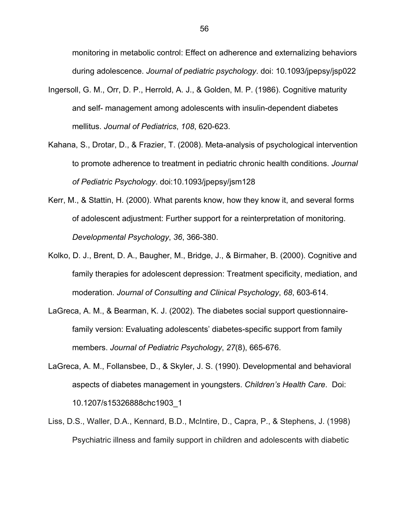monitoring in metabolic control: Effect on adherence and externalizing behaviors during adolescence. *Journal of pediatric psychology*. doi: 10.1093/jpepsy/jsp022

- Ingersoll, G. M., Orr, D. P., Herrold, A. J., & Golden, M. P. (1986). Cognitive maturity and self- management among adolescents with insulin-dependent diabetes mellitus. *Journal of Pediatrics*, *108*, 620-623.
- Kahana, S., Drotar, D., & Frazier, T. (2008). Meta-analysis of psychological intervention to promote adherence to treatment in pediatric chronic health conditions. *Journal of Pediatric Psychology*. doi:10.1093/jpepsy/jsm128
- Kerr, M., & Stattin, H. (2000). What parents know, how they know it, and several forms of adolescent adjustment: Further support for a reinterpretation of monitoring. *Developmental Psychology*, *36*, 366-380.
- Kolko, D. J., Brent, D. A., Baugher, M., Bridge, J., & Birmaher, B. (2000). Cognitive and family therapies for adolescent depression: Treatment specificity, mediation, and moderation. *Journal of Consulting and Clinical Psychology*, *68*, 603-614.
- LaGreca, A. M., & Bearman, K. J. (2002). The diabetes social support questionnairefamily version: Evaluating adolescents' diabetes-specific support from family members. *Journal of Pediatric Psychology*, *27*(8), 665-676.
- LaGreca, A. M., Follansbee, D., & Skyler, J. S. (1990). Developmental and behavioral aspects of diabetes management in youngsters. *Children's Health Care*. Doi: 10.1207/s15326888chc1903\_1
- Liss, D.S., Waller, D.A., Kennard, B.D., McIntire, D., Capra, P., & Stephens, J. (1998) Psychiatric illness and family support in children and adolescents with diabetic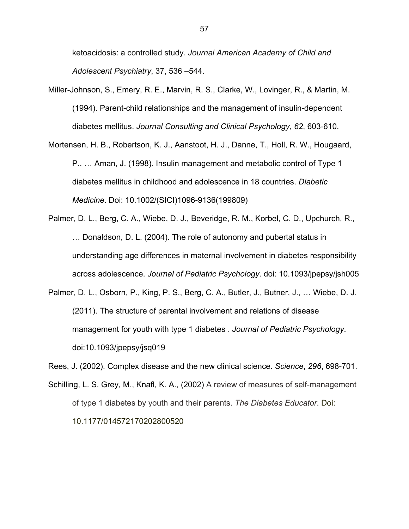ketoacidosis: a controlled study. *Journal American Academy of Child and Adolescent Psychiatry*, 37, 536 –544.

- Miller-Johnson, S., Emery, R. E., Marvin, R. S., Clarke, W., Lovinger, R., & Martin, M. (1994). Parent-child relationships and the management of insulin-dependent diabetes mellitus. *Journal Consulting and Clinical Psychology*, *62*, 603-610.
- Mortensen, H. B., Robertson, K. J., Aanstoot, H. J., Danne, T., Holl, R. W., Hougaard, P., … Aman, J. (1998). Insulin management and metabolic control of Type 1 diabetes mellitus in childhood and adolescence in 18 countries. *Diabetic Medicine*. Doi: 10.1002/(SICI)1096-9136(199809)
- Palmer, D. L., Berg, C. A., Wiebe, D. J., Beveridge, R. M., Korbel, C. D., Upchurch, R., … Donaldson, D. L. (2004). The role of autonomy and pubertal status in understanding age differences in maternal involvement in diabetes responsibility across adolescence. *Journal of Pediatric Psychology*. doi: 10.1093/jpepsy/jsh005
- Palmer, D. L., Osborn, P., King, P. S., Berg, C. A., Butler, J., Butner, J., ... Wiebe, D. J. (2011). The structure of parental involvement and relations of disease management for youth with type 1 diabetes . *Journal of Pediatric Psychology*. doi:10.1093/jpepsy/jsq019

Rees, J. (2002). Complex disease and the new clinical science. *Science*, *296*, 698-701.

Schilling, L. S. Grey, M., Knafl, K. A., (2002) A review of measures of self-management of type 1 diabetes by youth and their parents. *The Diabetes Educator*. Doi: 10.1177/014572170202800520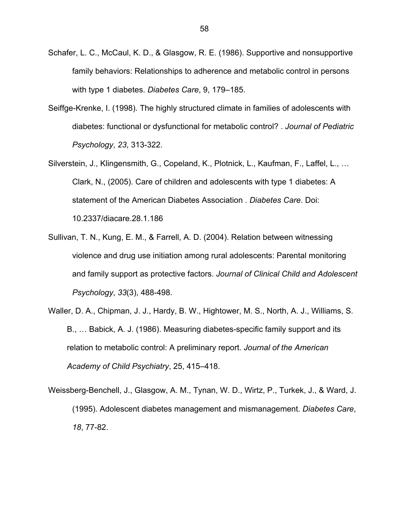- Schafer, L. C., McCaul, K. D., & Glasgow, R. E. (1986). Supportive and nonsupportive family behaviors: Relationships to adherence and metabolic control in persons with type 1 diabetes. *Diabetes Care*, 9, 179–185.
- Seiffge-Krenke, I. (1998). The highly structured climate in families of adolescents with diabetes: functional or dysfunctional for metabolic control? . *Journal of Pediatric Psychology*, *23*, 313-322.
- Silverstein, J., Klingensmith, G., Copeland, K., Plotnick, L., Kaufman, F., Laffel, L., … Clark, N., (2005). Care of children and adolescents with type 1 diabetes: A statement of the American Diabetes Association . *Diabetes Care*. Doi: 10.2337/diacare.28.1.186
- Sullivan, T. N., Kung, E. M., & Farrell, A. D. (2004). Relation between witnessing violence and drug use initiation among rural adolescents: Parental monitoring and family support as protective factors. *Journal of Clinical Child and Adolescent Psychology*, *33*(3), 488-498.
- Waller, D. A., Chipman, J. J., Hardy, B. W., Hightower, M. S., North, A. J., Williams, S. B., … Babick, A. J. (1986). Measuring diabetes-specific family support and its relation to metabolic control: A preliminary report. *Journal of the American Academy of Child Psychiatry*, 25, 415–418.
- Weissberg-Benchell, J., Glasgow, A. M., Tynan, W. D., Wirtz, P., Turkek, J., & Ward, J. (1995). Adolescent diabetes management and mismanagement. *Diabetes Care*, *18*, 77-82.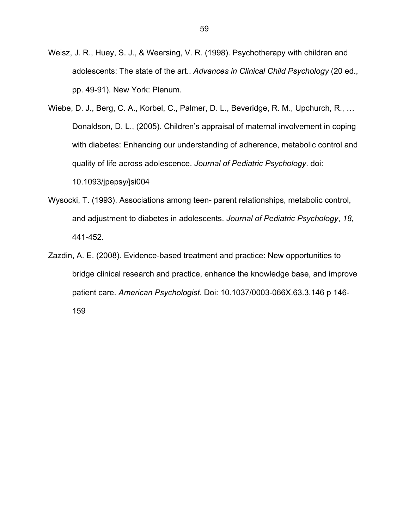- Weisz, J. R., Huey, S. J., & Weersing, V. R. (1998). Psychotherapy with children and adolescents: The state of the art.. *Advances in Clinical Child Psychology* (20 ed., pp. 49-91). New York: Plenum.
- Wiebe, D. J., Berg, C. A., Korbel, C., Palmer, D. L., Beveridge, R. M., Upchurch, R., … Donaldson, D. L., (2005). Children's appraisal of maternal involvement in coping with diabetes: Enhancing our understanding of adherence, metabolic control and quality of life across adolescence. *Journal of Pediatric Psychology*. doi: 10.1093/jpepsy/jsi004
- Wysocki, T. (1993). Associations among teen- parent relationships, metabolic control, and adjustment to diabetes in adolescents. *Journal of Pediatric Psychology*, *18*, 441-452.
- Zazdin, A. E. (2008). Evidence-based treatment and practice: New opportunities to bridge clinical research and practice, enhance the knowledge base, and improve patient care. *American Psychologist*. Doi: 10.1037/0003-066X.63.3.146 p 146- 159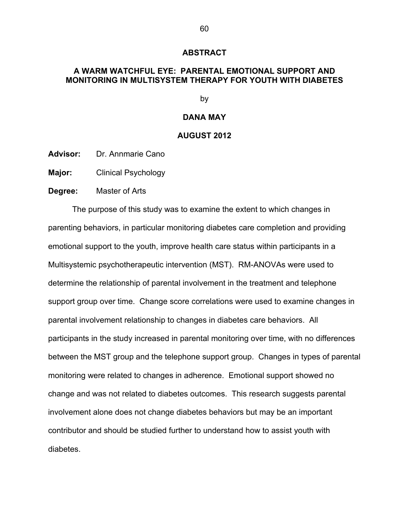#### **ABSTRACT**

# **A WARM WATCHFUL EYE: PARENTAL EMOTIONAL SUPPORT AND MONITORING IN MULTISYSTEM THERAPY FOR YOUTH WITH DIABETES**

by

### **DANA MAY**

#### **AUGUST 2012**

**Advisor:** Dr. Annmarie Cano

**Major:** Clinical Psychology

**Degree:** Master of Arts

The purpose of this study was to examine the extent to which changes in parenting behaviors, in particular monitoring diabetes care completion and providing emotional support to the youth, improve health care status within participants in a Multisystemic psychotherapeutic intervention (MST). RM-ANOVAs were used to determine the relationship of parental involvement in the treatment and telephone support group over time. Change score correlations were used to examine changes in parental involvement relationship to changes in diabetes care behaviors. All participants in the study increased in parental monitoring over time, with no differences between the MST group and the telephone support group. Changes in types of parental monitoring were related to changes in adherence. Emotional support showed no change and was not related to diabetes outcomes. This research suggests parental involvement alone does not change diabetes behaviors but may be an important contributor and should be studied further to understand how to assist youth with diabetes.